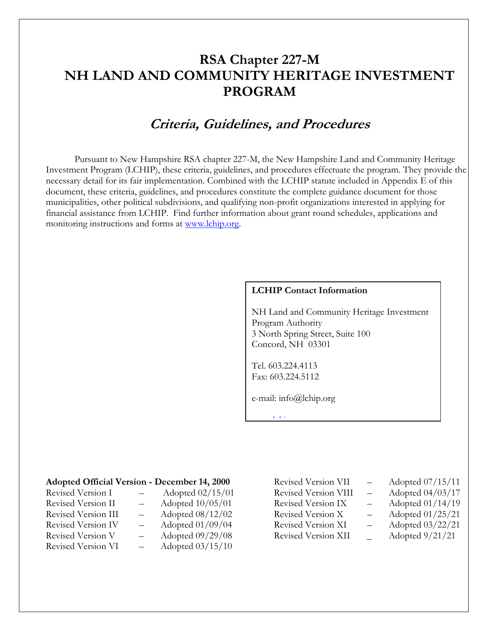# **RSA Chapter 227-M NH LAND AND COMMUNITY HERITAGE INVESTMENT PROGRAM**

# **Criteria, Guidelines, and Procedures**

Pursuant to New Hampshire RSA chapter 227-M, the New Hampshire Land and Community Heritage Investment Program (LCHIP), these criteria, guidelines, and procedures effectuate the program. They provide the necessary detail for its fair implementation. Combined with the LCHIP statute included in Appendix E of this document, these criteria, guidelines, and procedures constitute the complete guidance document for those municipalities, other political subdivisions, and qualifying non-profit organizations interested in applying for financial assistance from LCHIP. Find further information about grant round schedules, applications and monitoring instructions and forms at [www.lchip.org.](http://www.lchip.org/)

#### **LCHIP Contact Information**

NH Land and Community Heritage Investment Program Authority 3 North Spring Street, Suite 100 Concord, NH 03301

Tel. 603.224.4113 Fax: 603.224.5112

ww.lchip.org/[www.lchip.org](http://www.lchip.org/)/

e-mail: info@lchip.org

| <b>Adopted Official Version - December 14, 2000</b> |  |  |  |
|-----------------------------------------------------|--|--|--|
|-----------------------------------------------------|--|--|--|

| Revised Version I   | Adopted 02/15/01 |
|---------------------|------------------|
| Revised Version II  | Adopted 10/05/01 |
| Revised Version III | Adopted 08/12/02 |
| Revised Version IV  | Adopted 01/09/04 |
| Revised Version V   | Adopted 09/29/08 |
| Revised Version VI  | Adopted 03/15/10 |

| Revised Version VII  | Adopted 07/15/11  |
|----------------------|-------------------|
| Revised Version VIII | Adopted 04/03/17  |
| Revised Version IX   | Adopted 01/14/19  |
| Revised Version X    | Adopted 01/25/21  |
| Revised Version XI   | Adopted 03/22/21  |
| Revised Version XII  | Adopted $9/21/21$ |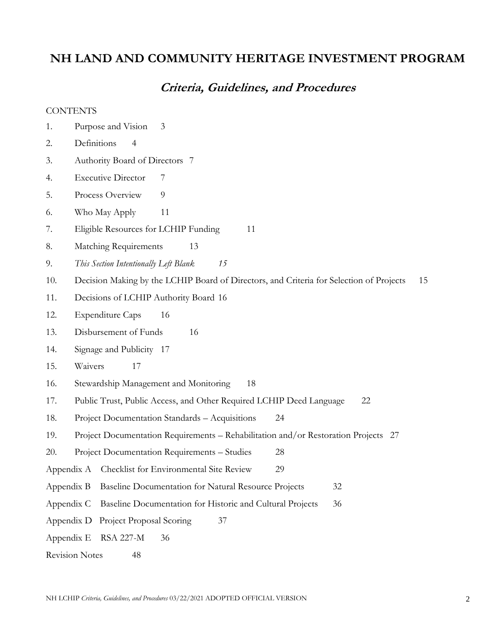# **NH LAND AND COMMUNITY HERITAGE INVESTMENT PROGRAM**

# **Criteria, Guidelines, and Procedures**

#### **CONTENTS**

- 1. Purpose and Vision 3
- 2. Definitions 4
- 3. Authority Board of Directors 7
- 4. Executive Director 7
- 5. Process Overview 9
- 6. Who May Apply 11
- 7. Eligible Resources for LCHIP Funding 11
- 8. Matching Requirements 13
- 9. *This Section Intentionally Left Blank 15*
- 10. Decision Making by the LCHIP Board of Directors, and Criteria for Selection of Projects 15
- 11. Decisions of LCHIP Authority Board 16
- 12. Expenditure Caps 16
- 13. Disbursement of Funds 16
- 14. Signage and Publicity 17
- 15. Waivers 17
- 16. Stewardship Management and Monitoring 18
- 17. Public Trust, Public Access, and Other Required LCHIP Deed Language 22
- 18. Project Documentation Standards Acquisitions 24
- 19. Project Documentation Requirements Rehabilitation and/or Restoration Projects 27
- 20. Project Documentation Requirements Studies 28
- Appendix A Checklist for Environmental Site Review 29
- Appendix B Baseline Documentation for Natural Resource Projects 32
- Appendix C Baseline Documentation for Historic and Cultural Projects 36
- Appendix D Project Proposal Scoring 37
- Appendix E RSA 227-M 36
- Revision Notes 48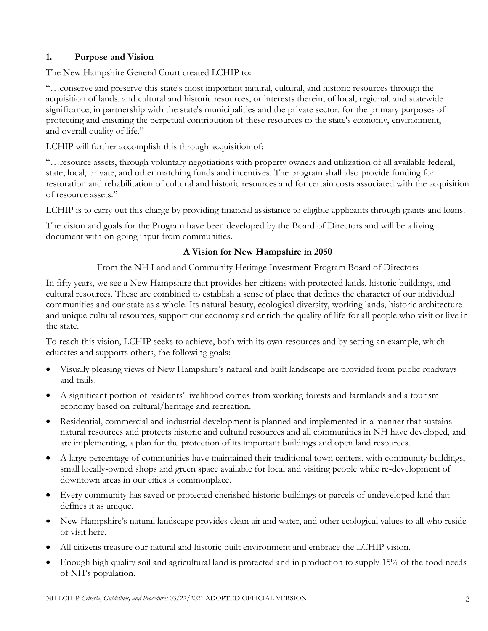# **1. Purpose and Vision**

The New Hampshire General Court created LCHIP to:

"…conserve and preserve this state's most important natural, cultural, and historic resources through the acquisition of lands, and cultural and historic resources, or interests therein, of local, regional, and statewide significance, in partnership with the state's municipalities and the private sector, for the primary purposes of protecting and ensuring the perpetual contribution of these resources to the state's economy, environment, and overall quality of life."

LCHIP will further accomplish this through acquisition of:

"…resource assets, through voluntary negotiations with property owners and utilization of all available federal, state, local, private, and other matching funds and incentives. The program shall also provide funding for restoration and rehabilitation of cultural and historic resources and for certain costs associated with the acquisition of resource assets."

LCHIP is to carry out this charge by providing financial assistance to eligible applicants through grants and loans.

The vision and goals for the Program have been developed by the Board of Directors and will be a living document with on-going input from communities.

## **A Vision for New Hampshire in 2050**

From the NH Land and Community Heritage Investment Program Board of Directors

In fifty years, we see a New Hampshire that provides her citizens with protected lands, historic buildings, and cultural resources. These are combined to establish a sense of place that defines the character of our individual communities and our state as a whole. Its natural beauty, ecological diversity, working lands, historic architecture and unique cultural resources, support our economy and enrich the quality of life for all people who visit or live in the state.

To reach this vision, LCHIP seeks to achieve, both with its own resources and by setting an example, which educates and supports others, the following goals:

- Visually pleasing views of New Hampshire's natural and built landscape are provided from public roadways and trails.
- A significant portion of residents' livelihood comes from working forests and farmlands and a tourism economy based on cultural/heritage and recreation.
- Residential, commercial and industrial development is planned and implemented in a manner that sustains natural resources and protects historic and cultural resources and all communities in NH have developed, and are implementing, a plan for the protection of its important buildings and open land resources.
- A large percentage of communities have maintained their traditional town centers, with community buildings, small locally-owned shops and green space available for local and visiting people while re-development of downtown areas in our cities is commonplace.
- Every community has saved or protected cherished historic buildings or parcels of undeveloped land that defines it as unique.
- New Hampshire's natural landscape provides clean air and water, and other ecological values to all who reside or visit here.
- All citizens treasure our natural and historic built environment and embrace the LCHIP vision.
- Enough high quality soil and agricultural land is protected and in production to supply 15% of the food needs of NH's population.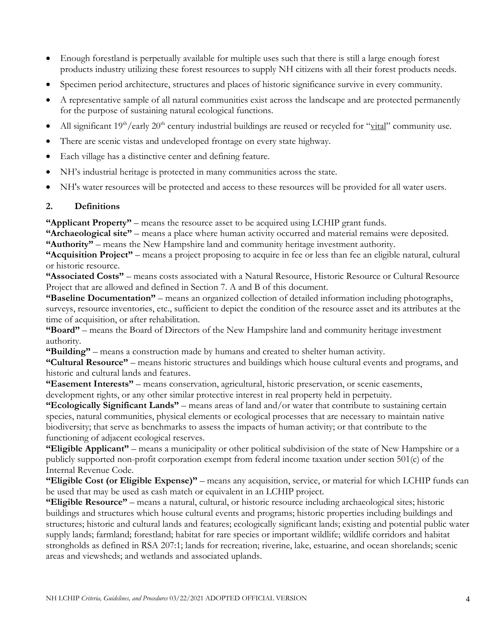- Enough forestland is perpetually available for multiple uses such that there is still a large enough forest products industry utilizing these forest resources to supply NH citizens with all their forest products needs.
- Specimen period architecture, structures and places of historic significance survive in every community.
- A representative sample of all natural communities exist across the landscape and are protected permanently for the purpose of sustaining natural ecological functions.
- All significant 19<sup>th</sup>/early 20<sup>th</sup> century industrial buildings are reused or recycled for "vital" community use.
- There are scenic vistas and undeveloped frontage on every state highway.
- Each village has a distinctive center and defining feature.
- NH's industrial heritage is protected in many communities across the state.
- NH's water resources will be protected and access to these resources will be provided for all water users.

## <span id="page-3-0"></span>**2. Definitions**

**"Applicant Property"** – means the resource asset to be acquired using LCHIP grant funds.

**"Archaeological site"** – means a place where human activity occurred and material remains were deposited.

**"Authority"** – means the New Hampshire land and community heritage investment authority.

<span id="page-3-1"></span>**"Acquisition Project"** – means a project proposing to acquire in fee or less than fee an eligible natural, cultural or historic resource.

**"Associated Costs"** – means costs associated with a Natural Resource, Historic Resource or Cultural Resource Project that are allowed and defined in Section 7. A and B of this document.

**"Baseline Documentation"** – means an organized collection of detailed information including photographs, surveys, resource inventories, etc., sufficient to depict the condition of the resource asset and its attributes at the time of acquisition, or after rehabilitation.

**"Board"** – means the Board of Directors of the New Hampshire land and community heritage investment authority.

**"Building"** – means a construction made by humans and created to shelter human activity.

**"Cultural Resource"** – means historic structures and buildings which house cultural events and programs, and historic and cultural lands and features.

**"Easement Interests"** – means conservation, agricultural, historic preservation, or scenic easements, development rights, or any other similar protective interest in real property held in perpetuity.

**"Ecologically Significant Lands"** – means areas of land and/or water that contribute to sustaining certain species, natural communities, physical elements or ecological processes that are necessary to maintain native biodiversity; that serve as benchmarks to assess the impacts of human activity; or that contribute to the functioning of adjacent ecological reserves.

**"Eligible Applicant"** – means a municipality or other political subdivision of the state of New Hampshire or a publicly supported non-profit corporation exempt from federal income taxation under section 501(c) of the Internal Revenue Code.

**"Eligible Cost (or Eligible Expense)"** – means any acquisition, service, or material for which LCHIP funds can be used that may be used as cash match or equivalent in an LCHIP project.

**"Eligible Resource"** – means a natural, cultural, or historic resource including archaeological sites; historic buildings and structures which house cultural events and programs; historic properties including buildings and structures; historic and cultural lands and features; ecologically significant lands; existing and potential public water supply lands; farmland; forestland; habitat for rare species or important wildlife; wildlife corridors and habitat strongholds as defined in RSA 207:1; lands for recreation; riverine, lake, estuarine, and ocean shorelands; scenic areas and viewsheds; and wetlands and associated uplands.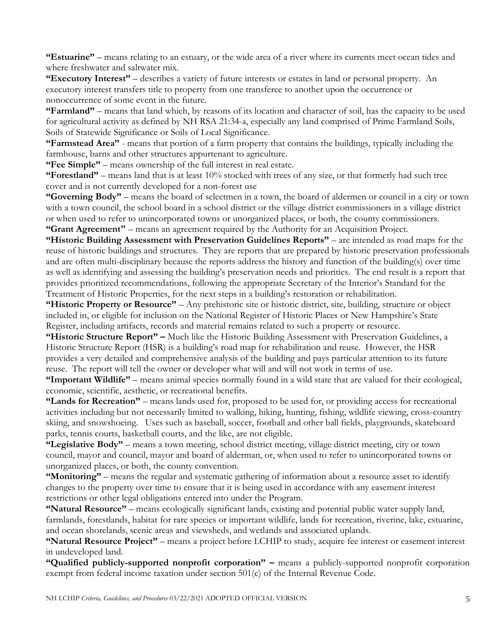**"Estuarine"** – means relating to an estuary, or the wide area of a river where its currents meet ocean tides and where freshwater and saltwater mix.

**"Executory Interest"** – describes a variety of future interests or estates in land or personal property. An executory interest transfers title to property from one transferee to another upon the occurrence or nonoccurrence of some event in the future.

**"Farmland"** – means that land which, by reasons of its location and character of soil, has the capacity to be used for agricultural activity as defined by NH RSA 21:34-a, especially any land comprised of Prime Farmland Soils, Soils of Statewide Significance or Soils of Local Significance.

**"Farmstead Area"** - means that portion of a farm property that contains the buildings, typically including the farmhouse, barns and other structures appurtenant to agriculture.

**"Fee Simple"** – means ownership of the full interest in real estate.

**"Forestland"** – means land that is at least 10% stocked with trees of any size, or that formerly had such tree cover and is not currently developed for a non-forest use

**"Governing Body"** – means the board of selectmen in a town, the board of aldermen or council in a city or town with a town council, the school board in a school district or the village district commissioners in a village district or when used to refer to unincorporated towns or unorganized places, or both, the county commissioners. **"Grant Agreement"** – means an agreement required by the Authority for an Acquisition Project.

**"Historic Building Assessment with Preservation Guidelines Reports"** – are intended as road maps for the reuse of historic buildings and structures. They are reports that are prepared by historic preservation professionals and are often multi-disciplinary because the reports address the history and function of the building(s) over time as well as identifying and assessing the building's preservation needs and priorities. The end result is a report that provides prioritized recommendations, following the appropriate Secretary of the Interior's Standard for the Treatment of Historic Properties, for the next steps in a building's restoration or rehabilitation.

**"Historic Property or Resource"** – Any prehistoric site or historic district, site, building, structure or object included in, or eligible for inclusion on the National Register of Historic Places or New Hampshire's State Register, including artifacts, records and material remains related to such a property or resource.

**"Historic Structure Report" –** Much like the Historic Building Assessment with Preservation Guidelines, a Historic Structure Report (HSR) is a building's road map for rehabilitation and reuse. However, the HSR provides a very detailed and comprehensive analysis of the building and pays particular attention to its future reuse. The report will tell the owner or developer what will and will not work in terms of use.

**"Important Wildlife"** – means animal species normally found in a wild state that are valued for their ecological, economic, scientific, aesthetic, or recreational benefits.

**"Lands for Recreation"** – means lands used for, proposed to be used for, or providing access for recreational activities including but not necessarily limited to walking, hiking, hunting, fishing, wildlife viewing, cross-country skiing, and snowshoeing. Uses such as baseball, soccer, football and other ball fields, playgrounds, skateboard parks, tennis courts, basketball courts, and the like, are not eligible.

**"Legislative Body"** – means a town meeting, school district meeting, village district meeting, city or town council, mayor and council, mayor and board of alderman, or, when used to refer to unincorporated towns or unorganized places, or both, the county convention.

**"Monitoring"** – means the regular and systematic gathering of information about a resource asset to identify changes to the property over time to ensure that it is being used in accordance with any easement interest restrictions or other legal obligations entered into under the Program.

**"Natural Resource"** – means ecologically significant lands, existing and potential public water supply land, farmlands, forestlands, habitat for rare species or important wildlife, lands for recreation, riverine, lake, estuarine, and ocean shorelands, scenic areas and viewsheds, and wetlands and associated uplands.

**"Natural Resource Project"** – means a project before LCHIP to study, acquire fee interest or easement interest in undeveloped land.

**"Qualified publicly-supported nonprofit corporation" –** means a publicly-supported nonprofit corporation exempt from federal income taxation under section 501(c) of the Internal Revenue Code.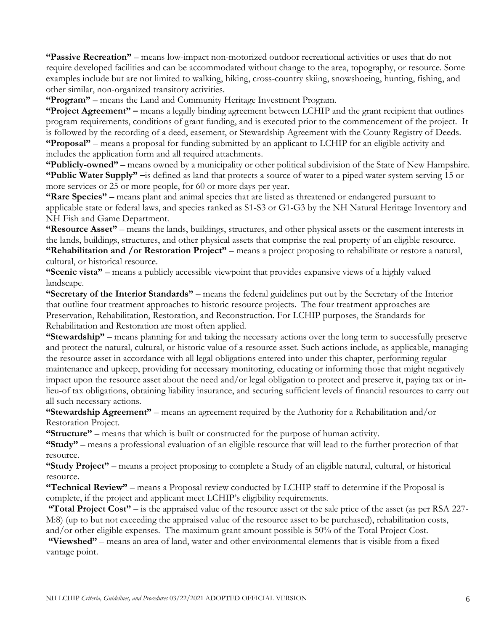**"Passive Recreation"** – means low-impact non-motorized outdoor recreational activities or uses that do not require developed facilities and can be accommodated without change to the area, topography, or resource. Some examples include but are not limited to walking, hiking, cross-country skiing, snowshoeing, hunting, fishing, and other similar, non-organized transitory activities.

**"Program"** – means the Land and Community Heritage Investment Program.

**"Project Agreement" –** means a legally binding agreement between LCHIP and the grant recipient that outlines program requirements, conditions of grant funding, and is executed prior to the commencement of the project. It is followed by the recording of a deed, easement, or Stewardship Agreement with the County Registry of Deeds. **"Proposal"** – means a proposal for funding submitted by an applicant to LCHIP for an eligible activity and includes the application form and all required attachments.

**"Publicly-owned"** – means owned by a municipality or other political subdivision of the State of New Hampshire. **"Public Water Supply" –**is defined as land that protects a source of water to a piped water system serving 15 or more services or 25 or more people, for 60 or more days per year.

**"Rare Species"** – means plant and animal species that are listed as threatened or endangered pursuant to applicable state or federal laws, and species ranked as S1-S3 or G1-G3 by the NH Natural Heritage Inventory and NH Fish and Game Department.

**"Resource Asset"** – means the lands, buildings, structures, and other physical assets or the easement interests in the lands, buildings, structures, and other physical assets that comprise the real property of an eligible resource. **"Rehabilitation and /or Restoration Project"** – means a project proposing to rehabilitate or restore a natural, cultural, or historical resource.

**"Scenic vista"** – means a publicly accessible viewpoint that provides expansive views of a highly valued landscape.

**"Secretary of the Interior Standards"** – means the federal guidelines put out by the Secretary of the Interior that outline four treatment approaches to historic resource projects. The four treatment approaches are Preservation, Rehabilitation, Restoration, and Reconstruction. For LCHIP purposes, the Standards for Rehabilitation and Restoration are most often applied.

**"Stewardship"** – means planning for and taking the necessary actions over the long term to successfully preserve and protect the natural, cultural, or historic value of a resource asset. Such actions include, as applicable, managing the resource asset in accordance with all legal obligations entered into under this chapter, performing regular maintenance and upkeep, providing for necessary monitoring, educating or informing those that might negatively impact upon the resource asset about the need and/or legal obligation to protect and preserve it, paying tax or inlieu-of tax obligations, obtaining liability insurance, and securing sufficient levels of financial resources to carry out all such necessary actions.

**"Stewardship Agreement"** – means an agreement required by the Authority for a Rehabilitation and/or Restoration Project.

**"Structure"** – means that which is built or constructed for the purpose of human activity.

**"Study"** – means a professional evaluation of an eligible resource that will lead to the further protection of that resource.

**"Study Project"** – means a project proposing to complete a Study of an eligible natural, cultural, or historical resource.

**"Technical Review"** – means a Proposal review conducted by LCHIP staff to determine if the Proposal is complete, if the project and applicant meet LCHIP's eligibility requirements.

**"Total Project Cost"** – is the appraised value of the resource asset or the sale price of the asset (as per RSA 227- M:8) (up to but not exceeding the appraised value of the resource asset to be purchased), rehabilitation costs, and/or other eligible expenses. The maximum grant amount possible is 50% of the Total Project Cost.

**"Viewshed"** – means an area of land, water and other environmental elements that is visible from a fixed vantage point.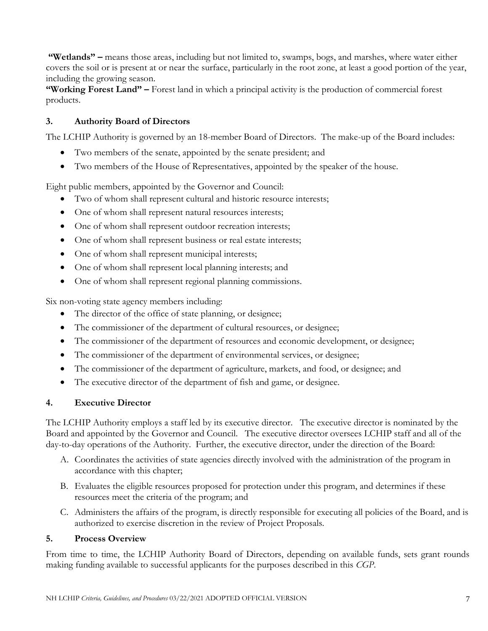**"Wetlands" –** means those areas, including but not limited to, swamps, bogs, and marshes, where water either covers the soil or is present at or near the surface, particularly in the root zone, at least a good portion of the year, including the growing season.

**"Working Forest Land" –** Forest land in which a principal activity is the production of commercial forest products.

# **3. Authority Board of Directors**

The LCHIP Authority is governed by an 18-member Board of Directors. The make-up of the Board includes:

- Two members of the senate, appointed by the senate president; and
- Two members of the House of Representatives, appointed by the speaker of the house.

Eight public members, appointed by the Governor and Council:

- Two of whom shall represent cultural and historic resource interests;
- One of whom shall represent natural resources interests;
- One of whom shall represent outdoor recreation interests;
- One of whom shall represent business or real estate interests;
- One of whom shall represent municipal interests;
- One of whom shall represent local planning interests; and
- One of whom shall represent regional planning commissions.

Six non-voting state agency members including:

- The director of the office of state planning, or designee;
- The commissioner of the department of cultural resources, or designee;
- The commissioner of the department of resources and economic development, or designee;
- The commissioner of the department of environmental services, or designee;
- The commissioner of the department of agriculture, markets, and food, or designee; and
- The executive director of the department of fish and game, or designee.

# **4. Executive Director**

The LCHIP Authority employs a staff led by its executive director. The executive director is nominated by the Board and appointed by the Governor and Council. The executive director oversees LCHIP staff and all of the day-to-day operations of the Authority. Further, the executive director, under the direction of the Board:

- A. Coordinates the activities of state agencies directly involved with the administration of the program in accordance with this chapter;
- B. Evaluates the eligible resources proposed for protection under this program, and determines if these resources meet the criteria of the program; and
- <span id="page-6-0"></span>C. Administers the affairs of the program, is directly responsible for executing all policies of the Board, and is authorized to exercise discretion in the review of Project Proposals.

## **5. Process Overview**

From time to time, the LCHIP Authority Board of Directors, depending on available funds, sets grant rounds making funding available to successful applicants for the purposes described in this *CGP*.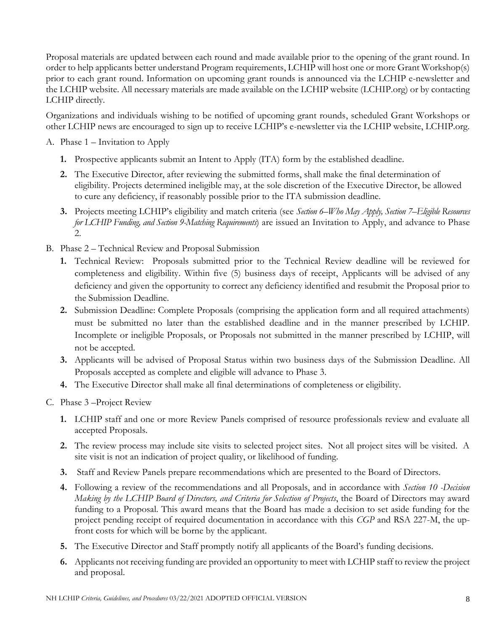Proposal materials are updated between each round and made available prior to the opening of the grant round. In order to help applicants better understand Program requirements, LCHIP will host one or more Grant Workshop(s) prior to each grant round. Information on upcoming grant rounds is announced via the LCHIP e-newsletter and the LCHIP website. All necessary materials are made available on the LCHIP website (LCHIP.org) or by contacting LCHIP directly.

Organizations and individuals wishing to be notified of upcoming grant rounds, scheduled Grant Workshops or other LCHIP news are encouraged to sign up to receive LCHIP's e-newsletter via the LCHIP website, LCHIP.org.

- A. Phase 1 Invitation to Apply
	- **1.** Prospective applicants submit an Intent to Apply (ITA) form by the established deadline.
	- **2.** The Executive Director, after reviewing the submitted forms, shall make the final determination of eligibility. Projects determined ineligible may, at the sole discretion of the Executive Director, be allowed to cure any deficiency, if reasonably possible prior to the ITA submission deadline.
	- **3.** Projects meeting LCHIP's eligibility and match criteria (see *Section 6–Who May Apply, Section 7–Eligible Resources for LCHIP Funding, and Section 9-Matching Requirements*) are issued an Invitation to Apply, and advance to Phase 2.
- B. Phase 2 Technical Review and Proposal Submission
	- **1.** Technical Review: Proposals submitted prior to the Technical Review deadline will be reviewed for completeness and eligibility. Within five (5) business days of receipt, Applicants will be advised of any deficiency and given the opportunity to correct any deficiency identified and resubmit the Proposal prior to the Submission Deadline.
	- **2.** Submission Deadline: Complete Proposals (comprising the application form and all required attachments) must be submitted no later than the established deadline and in the manner prescribed by LCHIP. Incomplete or ineligible Proposals, or Proposals not submitted in the manner prescribed by LCHIP, will not be accepted.
	- **3.** Applicants will be advised of Proposal Status within two business days of the Submission Deadline. All Proposals accepted as complete and eligible will advance to Phase 3.
	- **4.** The Executive Director shall make all final determinations of completeness or eligibility.
- C. Phase 3 –Project Review
	- **1.** LCHIP staff and one or more Review Panels comprised of resource professionals review and evaluate all accepted Proposals.
	- **2.** The review process may include site visits to selected project sites. Not all project sites will be visited. A site visit is not an indication of project quality, or likelihood of funding.
	- **3.** Staff and Review Panels prepare recommendations which are presented to the Board of Directors.
	- **4.** Following a review of the recommendations and all Proposals, and in accordance with *Section 10 -Decision Making by the LCHIP Board of Directors, and Criteria for Selection of Projects*, the Board of Directors may award funding to a Proposal. This award means that the Board has made a decision to set aside funding for the project pending receipt of required documentation in accordance with this *CGP* and RSA 227-M, the upfront costs for which will be borne by the applicant.
	- **5.** The Executive Director and Staff promptly notify all applicants of the Board's funding decisions.
	- **6.** Applicants not receiving funding are provided an opportunity to meet with LCHIP staff to review the project and proposal.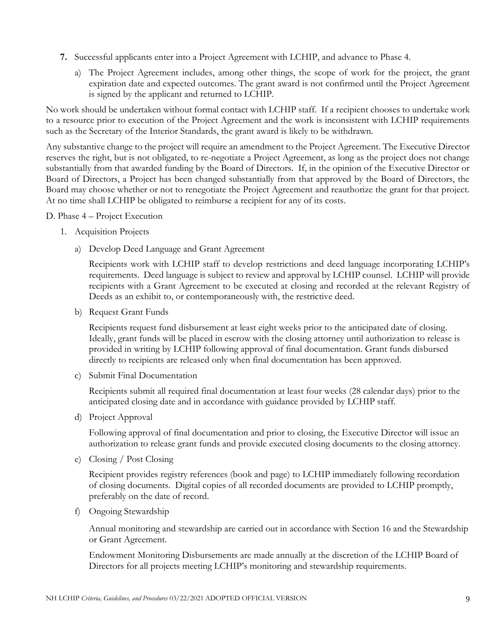- **7.** Successful applicants enter into a Project Agreement with LCHIP, and advance to Phase 4.
	- a) The Project Agreement includes, among other things, the scope of work for the project, the grant expiration date and expected outcomes. The grant award is not confirmed until the Project Agreement is signed by the applicant and returned to LCHIP.

No work should be undertaken without formal contact with LCHIP staff. If a recipient chooses to undertake work to a resource prior to execution of the Project Agreement and the work is inconsistent with LCHIP requirements such as the Secretary of the Interior Standards, the grant award is likely to be withdrawn.

Any substantive change to the project will require an amendment to the Project Agreement. The Executive Director reserves the right, but is not obligated, to re-negotiate a Project Agreement, as long as the project does not change substantially from that awarded funding by the Board of Directors. If, in the opinion of the Executive Director or Board of Directors, a Project has been changed substantially from that approved by the Board of Directors, the Board may choose whether or not to renegotiate the Project Agreement and reauthorize the grant for that project. At no time shall LCHIP be obligated to reimburse a recipient for any of its costs.

D. Phase 4 – Project Execution

- 1. Acquisition Projects
	- a) Develop Deed Language and Grant Agreement

Recipients work with LCHIP staff to develop restrictions and deed language incorporating LCHIP's requirements. Deed language is subject to review and approval by LCHIP counsel. LCHIP will provide recipients with a Grant Agreement to be executed at closing and recorded at the relevant Registry of Deeds as an exhibit to, or contemporaneously with, the restrictive deed.

b) Request Grant Funds

Recipients request fund disbursement at least eight weeks prior to the anticipated date of closing. Ideally, grant funds will be placed in escrow with the closing attorney until authorization to release is provided in writing by LCHIP following approval of final documentation. Grant funds disbursed directly to recipients are released only when final documentation has been approved.

c) Submit Final Documentation

Recipients submit all required final documentation at least four weeks (28 calendar days) prior to the anticipated closing date and in accordance with guidance provided by LCHIP staff.

d) Project Approval

Following approval of final documentation and prior to closing, the Executive Director will issue an authorization to release grant funds and provide executed closing documents to the closing attorney.

e) Closing / Post Closing

Recipient provides registry references (book and page) to LCHIP immediately following recordation of closing documents. Digital copies of all recorded documents are provided to LCHIP promptly, preferably on the date of record.

f) Ongoing Stewardship

Annual monitoring and stewardship are carried out in accordance with Section 16 and the Stewardship or Grant Agreement.

Endowment Monitoring Disbursements are made annually at the discretion of the LCHIP Board of Directors for all projects meeting LCHIP's monitoring and stewardship requirements.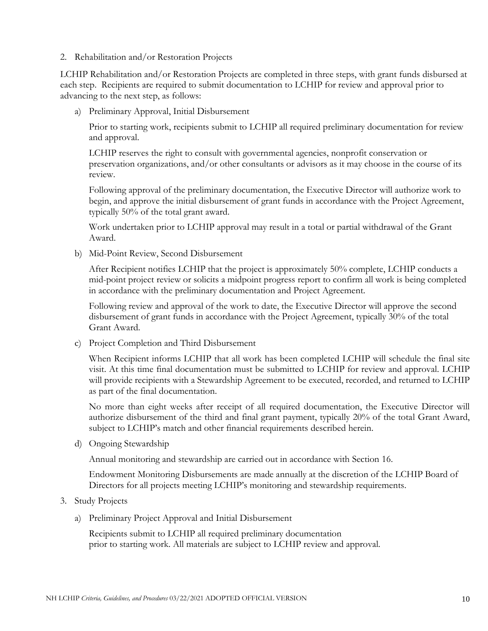2. Rehabilitation and/or Restoration Projects

LCHIP Rehabilitation and/or Restoration Projects are completed in three steps, with grant funds disbursed at each step. Recipients are required to submit documentation to LCHIP for review and approval prior to advancing to the next step, as follows:

a) Preliminary Approval, Initial Disbursement

Prior to starting work, recipients submit to LCHIP all required preliminary documentation for review and approval.

LCHIP reserves the right to consult with governmental agencies, nonprofit conservation or preservation organizations, and/or other consultants or advisors as it may choose in the course of its review.

Following approval of the preliminary documentation, the Executive Director will authorize work to begin, and approve the initial disbursement of grant funds in accordance with the Project Agreement, typically 50% of the total grant award.

Work undertaken prior to LCHIP approval may result in a total or partial withdrawal of the Grant Award.

b) Mid-Point Review, Second Disbursement

After Recipient notifies LCHIP that the project is approximately 50% complete, LCHIP conducts a mid-point project review or solicits a midpoint progress report to confirm all work is being completed in accordance with the preliminary documentation and Project Agreement.

Following review and approval of the work to date, the Executive Director will approve the second disbursement of grant funds in accordance with the Project Agreement, typically 30% of the total Grant Award.

c) Project Completion and Third Disbursement

When Recipient informs LCHIP that all work has been completed LCHIP will schedule the final site visit. At this time final documentation must be submitted to LCHIP for review and approval. LCHIP will provide recipients with a Stewardship Agreement to be executed, recorded, and returned to LCHIP as part of the final documentation.

No more than eight weeks after receipt of all required documentation, the Executive Director will authorize disbursement of the third and final grant payment, typically 20% of the total Grant Award, subject to LCHIP's match and other financial requirements described herein.

d) Ongoing Stewardship

Annual monitoring and stewardship are carried out in accordance with Section 16.

Endowment Monitoring Disbursements are made annually at the discretion of the LCHIP Board of Directors for all projects meeting LCHIP's monitoring and stewardship requirements.

- 3. Study Projects
	- a) Preliminary Project Approval and Initial Disbursement

Recipients submit to LCHIP all required preliminary documentation prior to starting work. All materials are subject to LCHIP review and approval.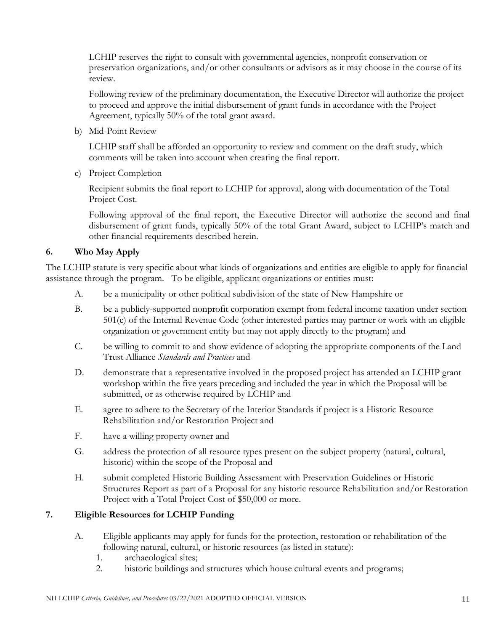LCHIP reserves the right to consult with governmental agencies, nonprofit conservation or preservation organizations, and/or other consultants or advisors as it may choose in the course of its review.

Following review of the preliminary documentation, the Executive Director will authorize the project to proceed and approve the initial disbursement of grant funds in accordance with the Project Agreement, typically 50% of the total grant award.

b) Mid-Point Review

LCHIP staff shall be afforded an opportunity to review and comment on the draft study, which comments will be taken into account when creating the final report.

c) Project Completion

Recipient submits the final report to LCHIP for approval, along with documentation of the Total Project Cost.

Following approval of the final report, the Executive Director will authorize the second and final disbursement of grant funds, typically 50% of the total Grant Award, subject to LCHIP's match and other financial requirements described herein.

## **6. Who May Apply**

The LCHIP statute is very specific about what kinds of organizations and entities are eligible to apply for financial assistance through the program. To be eligible, applicant organizations or entities must:

- A. be a municipality or other political subdivision of the state of New Hampshire or
- B. be a publicly-supported nonprofit corporation exempt from federal income taxation under section 501(c) of the Internal Revenue Code (other interested parties may partner or work with an eligible organization or government entity but may not apply directly to the program) and
- C. be willing to commit to and show evidence of adopting the appropriate components of the Land Trust Alliance *Standards and Practices* and
- <span id="page-10-0"></span>D. demonstrate that a representative involved in the proposed project has attended an LCHIP grant workshop within the five years preceding and included the year in which the Proposal will be submitted, or as otherwise required by LCHIP and
- E. agree to adhere to the Secretary of the Interior Standards if project is a Historic Resource Rehabilitation and/or Restoration Project and
- F. have a willing property owner and
- G. address the protection of all resource types present on the subject property (natural, cultural, historic) within the scope of the Proposal and
- <span id="page-10-1"></span>H. submit completed Historic Building Assessment with Preservation Guidelines or Historic Structures Report as part of a Proposal for any historic resource Rehabilitation and/or Restoration Project with a Total Project Cost of \$50,000 or more.

### **7. Eligible Resources for LCHIP Funding**

- A. Eligible applicants may apply for funds for the protection, restoration or rehabilitation of the following natural, cultural, or historic resources (as listed in statute):
	- 1. archaeological sites;
	- 2. historic buildings and structures which house cultural events and programs;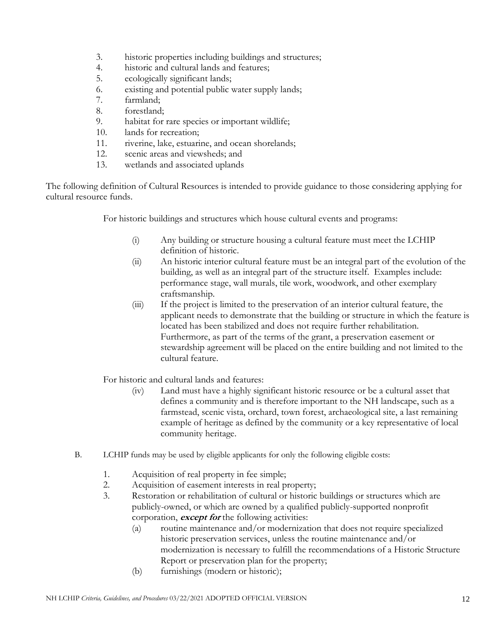- 3. historic properties including buildings and structures;
- 4. historic and cultural lands and features;
- 5. ecologically significant lands;
- 6. existing and potential public water supply lands;
- 7. farmland;
- 8. forestland;
- 9. habitat for rare species or important wildlife;
- 10. lands for recreation;
- 11. riverine, lake, estuarine, and ocean shorelands;
- 12. scenic areas and viewsheds; and
- 13. wetlands and associated uplands

The following definition of Cultural Resources is intended to provide guidance to those considering applying for cultural resource funds.

For historic buildings and structures which house cultural events and programs:

- (i) Any building or structure housing a cultural feature must meet the LCHIP definition of historic.
- (ii) An historic interior cultural feature must be an integral part of the evolution of the building, as well as an integral part of the structure itself. Examples include: performance stage, wall murals, tile work, woodwork, and other exemplary craftsmanship.
- (iii) If the project is limited to the preservation of an interior cultural feature, the applicant needs to demonstrate that the building or structure in which the feature is located has been stabilized and does not require further rehabilitation. Furthermore, as part of the terms of the grant, a preservation easement or stewardship agreement will be placed on the entire building and not limited to the cultural feature.

For historic and cultural lands and features:

- (iv) Land must have a highly significant historic resource or be a cultural asset that defines a community and is therefore important to the NH landscape, such as a farmstead, scenic vista, orchard, town forest, archaeological site, a last remaining example of heritage as defined by the community or a key representative of local community heritage.
- B. LCHIP funds may be used by eligible applicants for only the following eligible costs:
	- 1. Acquisition of real property in fee simple;
	- 2. Acquisition of easement interests in real property;
	- 3. Restoration or rehabilitation of cultural or historic buildings or structures which are publicly-owned, or which are owned by a qualified publicly-supported nonprofit corporation, **except for** the following activities:
		- (a) routine maintenance and/or modernization that does not require specialized historic preservation services, unless the routine maintenance and/or modernization is necessary to fulfill the recommendations of a Historic Structure Report or preservation plan for the property;
		- (b) furnishings (modern or historic);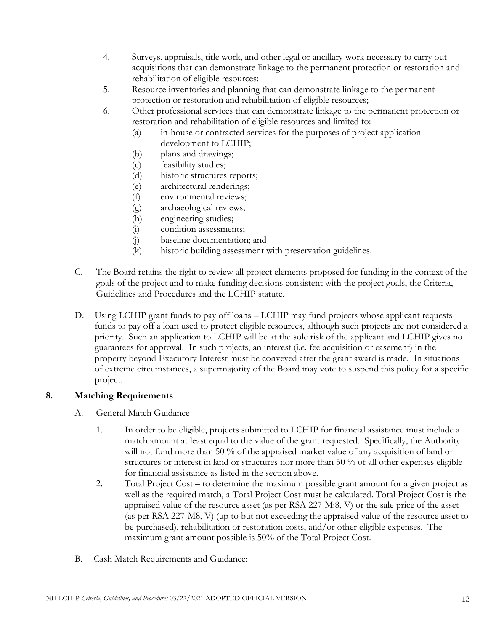- 4. Surveys, appraisals, title work, and other legal or ancillary work necessary to carry out acquisitions that can demonstrate linkage to the permanent protection or restoration and rehabilitation of eligible resources;
- 5. Resource inventories and planning that can demonstrate linkage to the permanent protection or restoration and rehabilitation of eligible resources;
- 6. Other professional services that can demonstrate linkage to the permanent protection or restoration and rehabilitation of eligible resources and limited to:
	- (a) in-house or contracted services for the purposes of project application development to LCHIP;
	- (b) plans and drawings;
	- (c) feasibility studies;
	- (d) historic structures reports;
	- (e) architectural renderings;
	- (f) environmental reviews;
	- (g) archaeological reviews;
	- (h) engineering studies;
	- (i) condition assessments;
	- (j) baseline documentation; and
	- (k) historic building assessment with preservation guidelines.
- C. The Board retains the right to review all project elements proposed for funding in the context of the goals of the project and to make funding decisions consistent with the project goals, the Criteria, Guidelines and Procedures and the LCHIP statute.
- D. Using LCHIP grant funds to pay off loans LCHIP may fund projects whose applicant requests funds to pay off a loan used to protect eligible resources, although such projects are not considered a priority. Such an application to LCHIP will be at the sole risk of the applicant and LCHIP gives no guarantees for approval. In such projects, an interest (i.e. fee acquisition or easement) in the property beyond Executory Interest must be conveyed after the grant award is made. In situations of extreme circumstances, a supermajority of the Board may vote to suspend this policy for a specific project.

## **8. Matching Requirements**

- A. General Match Guidance
	- 1. In order to be eligible, projects submitted to LCHIP for financial assistance must include a match amount at least equal to the value of the grant requested. Specifically, the Authority will not fund more than 50 % of the appraised market value of any acquisition of land or structures or interest in land or structures nor more than 50 % of all other expenses eligible for financial assistance as listed in the section above.
	- 2. Total Project Cost to determine the maximum possible grant amount for a given project as well as the required match, a Total Project Cost must be calculated. Total Project Cost is the appraised value of the resource asset (as per RSA 227-M:8, V) or the sale price of the asset (as per RSA 227-M8, V) (up to but not exceeding the appraised value of the resource asset to be purchased), rehabilitation or restoration costs, and/or other eligible expenses. The maximum grant amount possible is 50% of the Total Project Cost.
- <span id="page-12-0"></span>B. Cash Match Requirements and Guidance: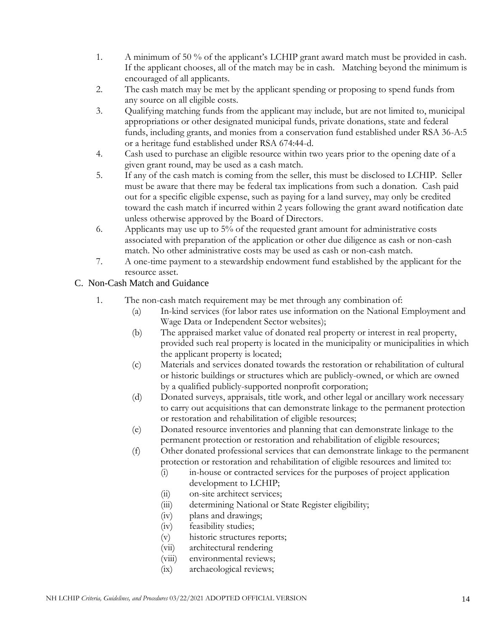- 1. A minimum of 50 % of the applicant's LCHIP grant award match must be provided in cash. If the applicant chooses, all of the match may be in cash. Matching beyond the minimum is encouraged of all applicants.
- 2. The cash match may be met by the applicant spending or proposing to spend funds from any source on all eligible costs.
- 3. Qualifying matching funds from the applicant may include, but are not limited to, municipal appropriations or other designated municipal funds, private donations, state and federal funds, including grants, and monies from a conservation fund established under RSA 36-A:5 or a heritage fund established under RSA 674:44-d.
- 4. Cash used to purchase an eligible resource within two years prior to the opening date of a given grant round, may be used as a cash match.
- 5. If any of the cash match is coming from the seller, this must be disclosed to LCHIP. Seller must be aware that there may be federal tax implications from such a donation. Cash paid out for a specific eligible expense, such as paying for a land survey, may only be credited toward the cash match if incurred within 2 years following the grant award notification date unless otherwise approved by the Board of Directors.
- 6. Applicants may use up to 5% of the requested grant amount for administrative costs associated with preparation of the application or other due diligence as cash or non-cash match. No other administrative costs may be used as cash or non-cash match.
- 7. A one-time payment to a stewardship endowment fund established by the applicant for the resource asset.

# C. Non-Cash Match and Guidance

- 1. The non-cash match requirement may be met through any combination of:
	- (a) In-kind services (for labor rates use information on the National Employment and Wage Data or Independent Sector websites);
	- (b) The appraised market value of donated real property or interest in real property, provided such real property is located in the municipality or municipalities in which the applicant property is located;
	- (c) Materials and services donated towards the restoration or rehabilitation of cultural or historic buildings or structures which are publicly-owned, or which are owned by a qualified publicly-supported nonprofit corporation;
	- (d) Donated surveys, appraisals, title work, and other legal or ancillary work necessary to carry out acquisitions that can demonstrate linkage to the permanent protection or restoration and rehabilitation of eligible resources;
	- (e) Donated resource inventories and planning that can demonstrate linkage to the permanent protection or restoration and rehabilitation of eligible resources;
	- (f) Other donated professional services that can demonstrate linkage to the permanent protection or restoration and rehabilitation of eligible resources and limited to:
		- (i) in-house or contracted services for the purposes of project application development to LCHIP;
		- (ii) on-site architect services;
		- (iii) determining National or State Register eligibility;
		- (iv) plans and drawings;
		- (iv) feasibility studies;
		- (v) historic structures reports;
		- (vii) architectural rendering
		- (viii) environmental reviews;
		- (ix) archaeological reviews;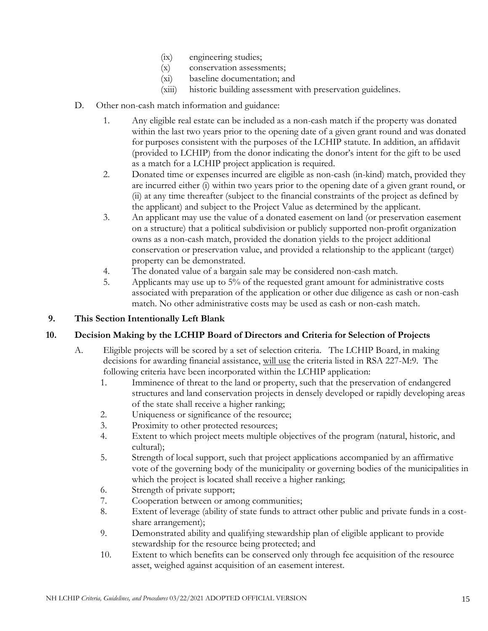- (ix) engineering studies;
- (x) conservation assessments;
- (xi) baseline documentation; and
- (xiii) historic building assessment with preservation guidelines.
- D. Other non-cash match information and guidance:
	- 1. Any eligible real estate can be included as a non-cash match if the property was donated within the last two years prior to the opening date of a given grant round and was donated for purposes consistent with the purposes of the LCHIP statute. In addition, an affidavit (provided to LCHIP) from the donor indicating the donor's intent for the gift to be used as a match for a LCHIP project application is required.
	- 2. Donated time or expenses incurred are eligible as non-cash (in-kind) match, provided they are incurred either (i) within two years prior to the opening date of a given grant round, or (ii) at any time thereafter (subject to the financial constraints of the project as defined by the applicant) and subject to the Project Value as determined by the applicant.
	- 3. An applicant may use the value of a donated easement on land (or preservation easement on a structure) that a political subdivision or publicly supported non-profit organization owns as a non-cash match, provided the donation yields to the project additional conservation or preservation value, and provided a relationship to the applicant (target) property can be demonstrated.
	- 4. The donated value of a bargain sale may be considered non-cash match.
	- 5. Applicants may use up to 5% of the requested grant amount for administrative costs associated with preparation of the application or other due diligence as cash or non-cash match. No other administrative costs may be used as cash or non-cash match.

## <span id="page-14-0"></span>**9. This Section Intentionally Left Blank**

## **10. Decision Making by the LCHIP Board of Directors and Criteria for Selection of Projects**

- A. Eligible projects will be scored by a set of selection criteria. The LCHIP Board, in making decisions for awarding financial assistance, will use the criteria listed in RSA 227-M:9. The following criteria have been incorporated within the LCHIP application:
	- 1. Imminence of threat to the land or property, such that the preservation of endangered structures and land conservation projects in densely developed or rapidly developing areas of the state shall receive a higher ranking;
	- 2. Uniqueness or significance of the resource;
	- 3. Proximity to other protected resources;
	- 4. Extent to which project meets multiple objectives of the program (natural, historic, and cultural);
	- 5. Strength of local support, such that project applications accompanied by an affirmative vote of the governing body of the municipality or governing bodies of the municipalities in which the project is located shall receive a higher ranking;
	- 6. Strength of private support;
	- 7. Cooperation between or among communities;
	- 8. Extent of leverage (ability of state funds to attract other public and private funds in a costshare arrangement);
	- 9. Demonstrated ability and qualifying stewardship plan of eligible applicant to provide stewardship for the resource being protected; and
	- 10. Extent to which benefits can be conserved only through fee acquisition of the resource asset, weighed against acquisition of an easement interest.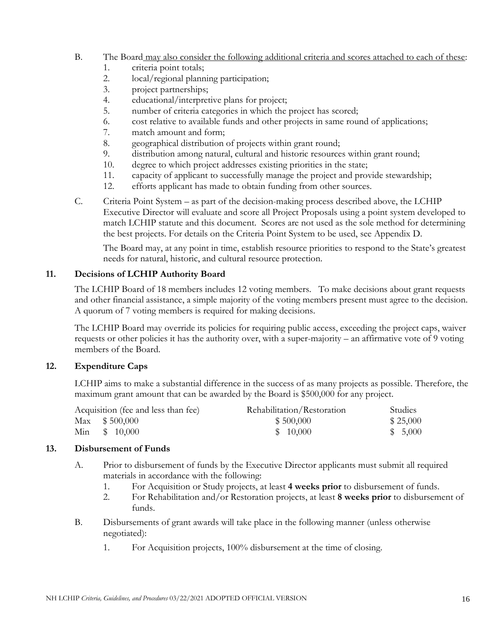## B. The Board may also consider the following additional criteria and scores attached to each of these:

- 1. criteria point totals;
- 2. local/regional planning participation;
- 3. project partnerships;
- 4. educational/interpretive plans for project;
- 5. number of criteria categories in which the project has scored;
- 6. cost relative to available funds and other projects in same round of applications;
- 7. match amount and form;
- 8. geographical distribution of projects within grant round;
- 9. distribution among natural, cultural and historic resources within grant round;
- 10. degree to which project addresses existing priorities in the state;
- 11. capacity of applicant to successfully manage the project and provide stewardship;
- 12. efforts applicant has made to obtain funding from other sources.
- C. Criteria Point System as part of the decision-making process described above, the LCHIP Executive Director will evaluate and score all Project Proposals using a point system developed to match LCHIP statute and this document. Scores are not used as the sole method for determining the best projects. For details on the Criteria Point System to be used, see Appendix D.

The Board may, at any point in time, establish resource priorities to respond to the State's greatest needs for natural, historic, and cultural resource protection.

## **11. Decisions of LCHIP Authority Board**

The LCHIP Board of 18 members includes 12 voting members. To make decisions about grant requests and other financial assistance, a simple majority of the voting members present must agree to the decision. A quorum of 7 voting members is required for making decisions.

The LCHIP Board may override its policies for requiring public access, exceeding the project caps, waiver requests or other policies it has the authority over, with a super-majority – an affirmative vote of 9 voting members of the Board.

### **12. Expenditure Caps**

LCHIP aims to make a substantial difference in the success of as many projects as possible. Therefore, the maximum grant amount that can be awarded by the Board is \$500,000 for any project.

| Acquisition (fee and less than fee) | Rehabilitation/Restoration | Studies  |
|-------------------------------------|----------------------------|----------|
| Max $$500,000$                      | \$500,000                  | \$25,000 |
| Min $$10,000$                       | \$10,000                   | \$5,000  |

### **13. Disbursement of Funds**

- <span id="page-15-0"></span>A. Prior to disbursement of funds by the Executive Director applicants must submit all required materials in accordance with the following:
	- 1. For Acquisition or Study projects, at least **4 weeks prior** to disbursement of funds.
	- 2. For Rehabilitation and/or Restoration projects, at least **8 weeks prior** to disbursement of funds.
- <span id="page-15-1"></span>B. Disbursements of grant awards will take place in the following manner (unless otherwise negotiated):
	- 1. For Acquisition projects, 100% disbursement at the time of closing.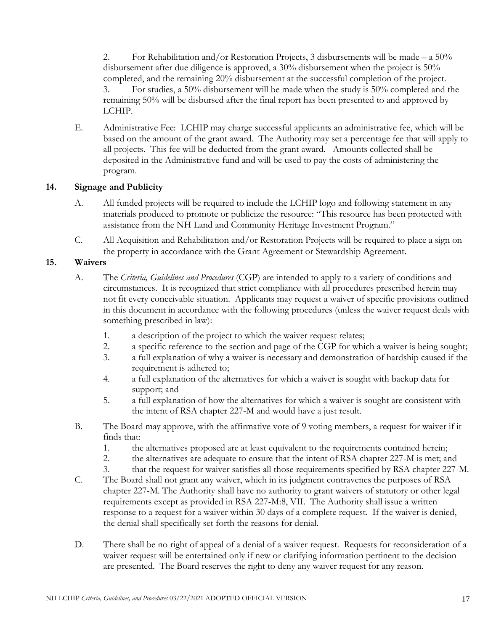2. For Rehabilitation and/or Restoration Projects, 3 disbursements will be made – a 50% disbursement after due diligence is approved, a 30% disbursement when the project is 50% completed, and the remaining 20% disbursement at the successful completion of the project. 3. For studies, a 50% disbursement will be made when the study is 50% completed and the remaining 50% will be disbursed after the final report has been presented to and approved by LCHIP.

E. Administrative Fee: LCHIP may charge successful applicants an administrative fee, which will be based on the amount of the grant award. The Authority may set a percentage fee that will apply to all projects. This fee will be deducted from the grant award. Amounts collected shall be deposited in the Administrative fund and will be used to pay the costs of administering the program.

### **14. Signage and Publicity**

- <span id="page-16-0"></span>A. All funded projects will be required to include the LCHIP logo and following statement in any materials produced to promote or publicize the resource: "This resource has been protected with assistance from the NH Land and Community Heritage Investment Program."
- C. All Acquisition and Rehabilitation and/or Restoration Projects will be required to place a sign on the property in accordance with the Grant Agreement or Stewardship Agreement.

### **15. Waivers**

- A. The *Criteria, Guidelines and Procedures* (CGP) are intended to apply to a variety of conditions and circumstances. It is recognized that strict compliance with all procedures prescribed herein may not fit every conceivable situation. Applicants may request a waiver of specific provisions outlined in this document in accordance with the following procedures (unless the waiver request deals with something prescribed in law):
	- 1. a description of the project to which the waiver request relates;
	- 2. a specific reference to the section and page of the CGP for which a waiver is being sought;
	- 3. a full explanation of why a waiver is necessary and demonstration of hardship caused if the requirement is adhered to;
	- 4. a full explanation of the alternatives for which a waiver is sought with backup data for support; and
	- 5. a full explanation of how the alternatives for which a waiver is sought are consistent with the intent of RSA chapter 227-M and would have a just result.
- B. The Board may approve, with the affirmative vote of 9 voting members, a request for waiver if it finds that:
	- 1. the alternatives proposed are at least equivalent to the requirements contained herein;
	- 2. the alternatives are adequate to ensure that the intent of RSA chapter 227-M is met; and
	- 3. that the request for waiver satisfies all those requirements specified by RSA chapter 227-M.
- C. The Board shall not grant any waiver, which in its judgment contravenes the purposes of RSA chapter 227-M. The Authority shall have no authority to grant waivers of statutory or other legal requirements except as provided in RSA 227-M:8, VII. The Authority shall issue a written response to a request for a waiver within 30 days of a complete request. If the waiver is denied, the denial shall specifically set forth the reasons for denial.
- D. There shall be no right of appeal of a denial of a waiver request. Requests for reconsideration of a waiver request will be entertained only if new or clarifying information pertinent to the decision are presented. The Board reserves the right to deny any waiver request for any reason.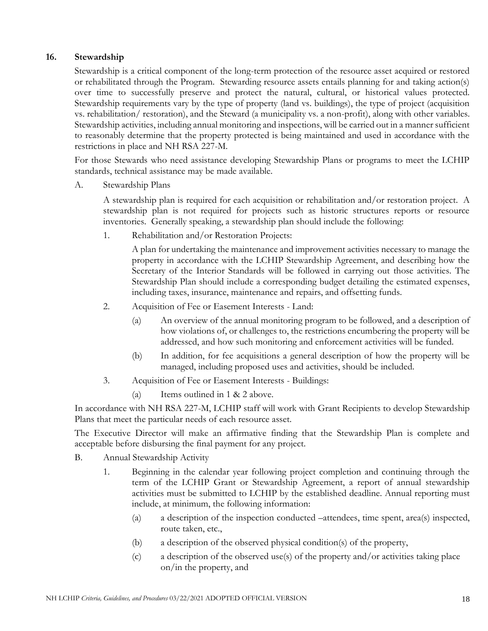## <span id="page-17-0"></span>**16. Stewardship**

Stewardship is a critical component of the long-term protection of the resource asset acquired or restored or rehabilitated through the Program. Stewarding resource assets entails planning for and taking action(s) over time to successfully preserve and protect the natural, cultural, or historical values protected. Stewardship requirements vary by the type of property (land vs. buildings), the type of project (acquisition vs. rehabilitation/ restoration), and the Steward (a municipality vs. a non-profit), along with other variables. Stewardship activities, including annual monitoring and inspections, will be carried out in a manner sufficient to reasonably determine that the property protected is being maintained and used in accordance with the restrictions in place and NH RSA 227-M.

For those Stewards who need assistance developing Stewardship Plans or programs to meet the LCHIP standards, technical assistance may be made available.

A. Stewardship Plans

A stewardship plan is required for each acquisition or rehabilitation and/or restoration project. A stewardship plan is not required for projects such as historic structures reports or resource inventories. Generally speaking, a stewardship plan should include the following:

1. Rehabilitation and/or Restoration Projects:

A plan for undertaking the maintenance and improvement activities necessary to manage the property in accordance with the LCHIP Stewardship Agreement, and describing how the Secretary of the Interior Standards will be followed in carrying out those activities. The Stewardship Plan should include a corresponding budget detailing the estimated expenses, including taxes, insurance, maintenance and repairs, and offsetting funds.

- 2. Acquisition of Fee or Easement Interests Land:
	- (a) An overview of the annual monitoring program to be followed, and a description of how violations of, or challenges to, the restrictions encumbering the property will be addressed, and how such monitoring and enforcement activities will be funded.
	- (b) In addition, for fee acquisitions a general description of how the property will be managed, including proposed uses and activities, should be included.
- 3. Acquisition of Fee or Easement Interests Buildings:
	- (a) Items outlined in 1 & 2 above.

In accordance with NH RSA 227-M, LCHIP staff will work with Grant Recipients to develop Stewardship Plans that meet the particular needs of each resource asset.

The Executive Director will make an affirmative finding that the Stewardship Plan is complete and acceptable before disbursing the final payment for any project.

- B. Annual Stewardship Activity
	- 1. Beginning in the calendar year following project completion and continuing through the term of the LCHIP Grant or Stewardship Agreement, a report of annual stewardship activities must be submitted to LCHIP by the established deadline. Annual reporting must include, at minimum, the following information:
		- (a) a description of the inspection conducted –attendees, time spent, area(s) inspected, route taken, etc.,
		- (b) a description of the observed physical condition(s) of the property,
		- (c) a description of the observed use(s) of the property and/or activities taking place on/in the property, and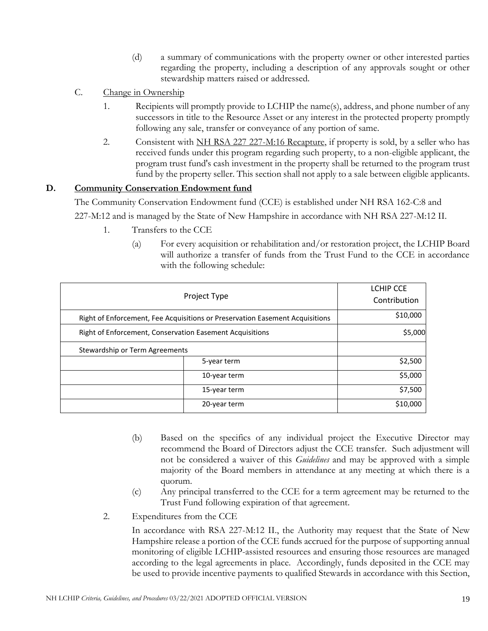- (d) a summary of communications with the property owner or other interested parties regarding the property, including a description of any approvals sought or other stewardship matters raised or addressed.
- C. Change in Ownership
	- 1. Recipients will promptly provide to LCHIP the name(s), address, and phone number of any successors in title to the Resource Asset or any interest in the protected property promptly following any sale, transfer or conveyance of any portion of same.
	- 2. Consistent with NH RSA 227 227-M:16 Recapture, if property is sold, by a seller who has received funds under this program regarding such property, to a non-eligible applicant, the program trust fund's cash investment in the property shall be returned to the program trust fund by the property seller. This section shall not apply to a sale between eligible applicants.

## **D. Community Conservation Endowment fund**

The Community Conservation Endowment fund (CCE) is established under NH RSA 162-C:8 and 227-M:12 and is managed by the State of New Hampshire in accordance with NH RSA 227-M:12 II.

- 1. Transfers to the CCE
	- (a) For every acquisition or rehabilitation and/or restoration project, the LCHIP Board will authorize a transfer of funds from the Trust Fund to the CCE in accordance with the following schedule:

| Project Type                                                                 |              | <b>LCHIP CCE</b><br>Contribution |
|------------------------------------------------------------------------------|--------------|----------------------------------|
| Right of Enforcement, Fee Acquisitions or Preservation Easement Acquisitions |              | \$10,000                         |
| Right of Enforcement, Conservation Easement Acquisitions                     |              | \$5,000                          |
| Stewardship or Term Agreements                                               |              |                                  |
|                                                                              | 5-year term  | \$2,500                          |
| 10-year term                                                                 |              | \$5,000                          |
| 15-year term                                                                 |              | \$7,500                          |
|                                                                              | 20-year term | \$10,000                         |

- (b) Based on the specifics of any individual project the Executive Director may recommend the Board of Directors adjust the CCE transfer. Such adjustment will not be considered a waiver of this *Guidelines* and may be approved with a simple majority of the Board members in attendance at any meeting at which there is a quorum.
- (c) Any principal transferred to the CCE for a term agreement may be returned to the Trust Fund following expiration of that agreement.
- 2. Expenditures from the CCE

In accordance with RSA 227-M:12 II., the Authority may request that the State of New Hampshire release a portion of the CCE funds accrued for the purpose of supporting annual monitoring of eligible LCHIP-assisted resources and ensuring those resources are managed according to the legal agreements in place. Accordingly, funds deposited in the CCE may be used to provide incentive payments to qualified Stewards in accordance with this Section,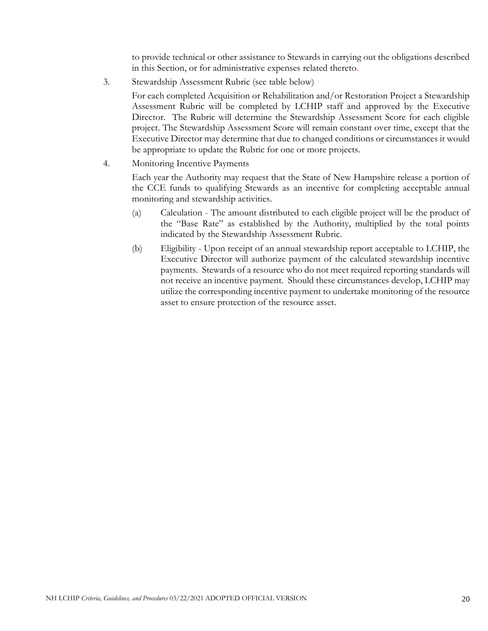to provide technical or other assistance to Stewards in carrying out the obligations described in this Section, or for administrative expenses related thereto.

3. Stewardship Assessment Rubric (see table below)

For each completed Acquisition or Rehabilitation and/or Restoration Project a Stewardship Assessment Rubric will be completed by LCHIP staff and approved by the Executive Director. The Rubric will determine the Stewardship Assessment Score for each eligible project. The Stewardship Assessment Score will remain constant over time, except that the Executive Director may determine that due to changed conditions or circumstances it would be appropriate to update the Rubric for one or more projects.

4. Monitoring Incentive Payments

Each year the Authority may request that the State of New Hampshire release a portion of the CCE funds to qualifying Stewards as an incentive for completing acceptable annual monitoring and stewardship activities.

- (a) Calculation The amount distributed to each eligible project will be the product of the "Base Rate" as established by the Authority, multiplied by the total points indicated by the Stewardship Assessment Rubric.
- (b) Eligibility Upon receipt of an annual stewardship report acceptable to LCHIP, the Executive Director will authorize payment of the calculated stewardship incentive payments. Stewards of a resource who do not meet required reporting standards will not receive an incentive payment. Should these circumstances develop, LCHIP may utilize the corresponding incentive payment to undertake monitoring of the resource asset to ensure protection of the resource asset.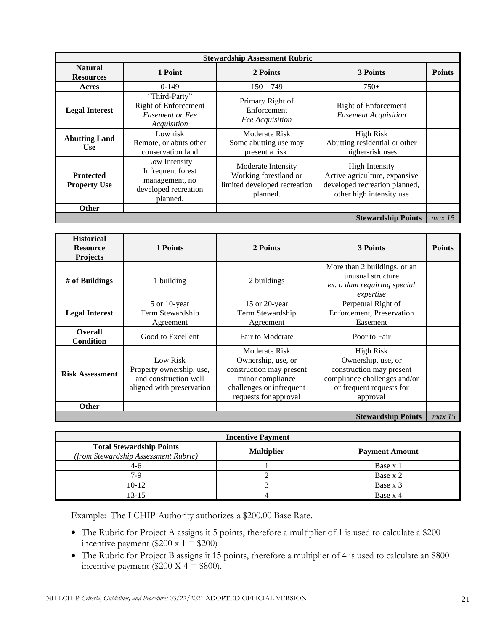| <b>Stewardship Assessment Rubric</b>    |                                                                                          |                                                                                         |                                                                                                                     |               |
|-----------------------------------------|------------------------------------------------------------------------------------------|-----------------------------------------------------------------------------------------|---------------------------------------------------------------------------------------------------------------------|---------------|
| <b>Natural</b><br><b>Resources</b>      | 1 Point                                                                                  | 2 Points                                                                                | 3 Points                                                                                                            | <b>Points</b> |
| Acres                                   | $0-149$                                                                                  | $150 - 749$                                                                             | $750+$                                                                                                              |               |
| <b>Legal Interest</b>                   | "Third-Party"<br><b>Right of Enforcement</b><br><b>Easement or Fee</b><br>Acquisition    | Primary Right of<br>Enforcement<br>Fee Acquisition                                      | <b>Right of Enforcement</b><br><b>Easement Acquisition</b>                                                          |               |
| <b>Abutting Land</b><br><b>Use</b>      | Low risk<br>Remote, or abuts other<br>conservation land                                  | Moderate Risk<br>Some abutting use may<br>present a risk.                               | <b>High Risk</b><br>Abutting residential or other<br>higher-risk uses                                               |               |
| <b>Protected</b><br><b>Property Use</b> | Low Intensity<br>Infrequent forest<br>management, no<br>developed recreation<br>planned. | Moderate Intensity<br>Working forestland or<br>limited developed recreation<br>planned. | <b>High Intensity</b><br>Active agriculture, expansive<br>developed recreation planned,<br>other high intensity use |               |
| <b>Other</b>                            |                                                                                          |                                                                                         |                                                                                                                     |               |
| <b>Stewardship Points</b>               |                                                                                          |                                                                                         |                                                                                                                     | max 15        |

| <b>Historical</b><br><b>Resource</b><br><b>Projects</b> | 1 Points                                                                                   | 2 Points                                                                                                                                 | 3 Points                                                                                                                            | <b>Points</b> |
|---------------------------------------------------------|--------------------------------------------------------------------------------------------|------------------------------------------------------------------------------------------------------------------------------------------|-------------------------------------------------------------------------------------------------------------------------------------|---------------|
| # of Buildings                                          | 1 building                                                                                 | 2 buildings                                                                                                                              | More than 2 buildings, or an<br>unusual structure<br>ex. a dam requiring special<br>expertise                                       |               |
| <b>Legal Interest</b>                                   | 5 or 10-year<br>Term Stewardship<br>Agreement                                              | 15 or 20-year<br>Term Stewardship<br>Agreement                                                                                           | Perpetual Right of<br>Enforcement, Preservation<br>Easement                                                                         |               |
| <b>Overall</b><br>Condition                             | Good to Excellent                                                                          | Fair to Moderate                                                                                                                         | Poor to Fair                                                                                                                        |               |
| <b>Risk Assessment</b>                                  | Low Risk<br>Property ownership, use,<br>and construction well<br>aligned with preservation | Moderate Risk<br>Ownership, use, or<br>construction may present<br>minor compliance<br>challenges or infrequent<br>requests for approval | High Risk<br>Ownership, use, or<br>construction may present<br>compliance challenges and/or<br>or frequent requests for<br>approval |               |
| <b>Other</b>                                            |                                                                                            |                                                                                                                                          |                                                                                                                                     |               |
|                                                         |                                                                                            |                                                                                                                                          | <b>Stewardship Points</b>                                                                                                           | max 15        |

|                                                                         | <b>Incentive Payment</b> |                       |
|-------------------------------------------------------------------------|--------------------------|-----------------------|
| <b>Total Stewardship Points</b><br>(from Stewardship Assessment Rubric) | <b>Multiplier</b>        | <b>Payment Amount</b> |
| 4-6                                                                     |                          | Base x 1              |
| $7-9$                                                                   |                          | Base x 2              |
| $10-12$                                                                 |                          | Base x 3              |
| 13-15                                                                   |                          | Base x 4              |

Example: The LCHIP Authority authorizes a \$200.00 Base Rate.

- The Rubric for Project A assigns it 5 points, therefore a multiplier of 1 is used to calculate a \$200 incentive payment (\$200 x 1 = \$200)
- The Rubric for Project B assigns it 15 points, therefore a multiplier of 4 is used to calculate an \$800 incentive payment  $(\$200 X 4 = \$800)$ .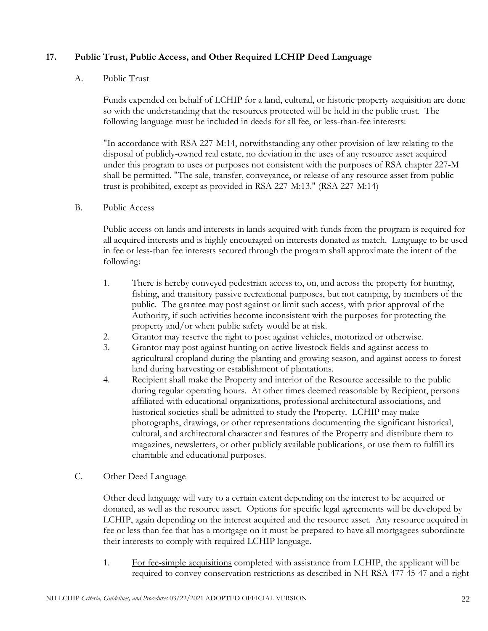## **17. Public Trust, Public Access, and Other Required LCHIP Deed Language**

#### A. Public Trust

Funds expended on behalf of LCHIP for a land, cultural, or historic property acquisition are done so with the understanding that the resources protected will be held in the public trust. The following language must be included in deeds for all fee, or less-than-fee interests:

"In accordance with RSA 227-M:14, notwithstanding any other provision of law relating to the disposal of publicly-owned real estate, no deviation in the uses of any resource asset acquired under this program to uses or purposes not consistent with the purposes of RSA chapter 227-M shall be permitted. "The sale, transfer, conveyance, or release of any resource asset from public trust is prohibited, except as provided in RSA 227-M:13." (RSA 227-M:14)

#### B. Public Access

Public access on lands and interests in lands acquired with funds from the program is required for all acquired interests and is highly encouraged on interests donated as match. Language to be used in fee or less-than fee interests secured through the program shall approximate the intent of the following:

- 1. There is hereby conveyed pedestrian access to, on, and across the property for hunting, fishing, and transitory passive recreational purposes, but not camping, by members of the public. The grantee may post against or limit such access, with prior approval of the Authority, if such activities become inconsistent with the purposes for protecting the property and/or when public safety would be at risk.
- 2. Grantor may reserve the right to post against vehicles, motorized or otherwise.
- 3. Grantor may post against hunting on active livestock fields and against access to agricultural cropland during the planting and growing season, and against access to forest land during harvesting or establishment of plantations.
- 4. Recipient shall make the Property and interior of the Resource accessible to the public during regular operating hours. At other times deemed reasonable by Recipient, persons affiliated with educational organizations, professional architectural associations, and historical societies shall be admitted to study the Property. LCHIP may make photographs, drawings, or other representations documenting the significant historical, cultural, and architectural character and features of the Property and distribute them to magazines, newsletters, or other publicly available publications, or use them to fulfill its charitable and educational purposes.

### <span id="page-21-0"></span>C. Other Deed Language

Other deed language will vary to a certain extent depending on the interest to be acquired or donated, as well as the resource asset. Options for specific legal agreements will be developed by LCHIP, again depending on the interest acquired and the resource asset. Any resource acquired in fee or less than fee that has a mortgage on it must be prepared to have all mortgagees subordinate their interests to comply with required LCHIP language.

1. For fee-simple acquisitions completed with assistance from LCHIP, the applicant will be required to convey conservation restrictions as described in NH RSA 477 45-47 and a right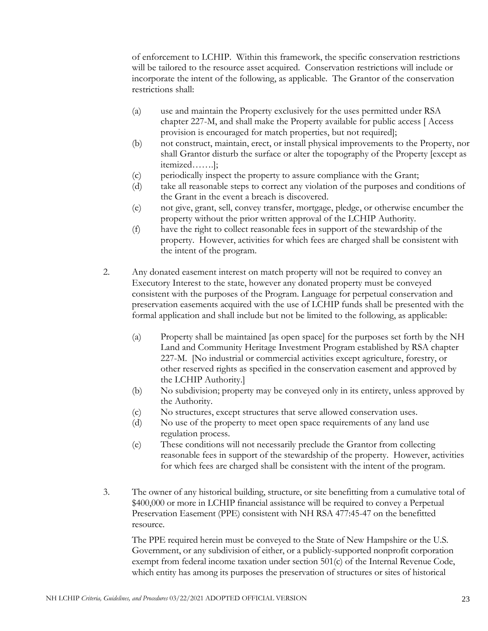of enforcement to LCHIP. Within this framework, the specific conservation restrictions will be tailored to the resource asset acquired. Conservation restrictions will include or incorporate the intent of the following, as applicable. The Grantor of the conservation restrictions shall:

- (a) use and maintain the Property exclusively for the uses permitted under RSA chapter 227-M, and shall make the Property available for public access [ Access provision is encouraged for match properties, but not required];
- (b) not construct, maintain, erect, or install physical improvements to the Property, nor shall Grantor disturb the surface or alter the topography of the Property [except as itemized…….];
- (c) periodically inspect the property to assure compliance with the Grant;
- (d) take all reasonable steps to correct any violation of the purposes and conditions of the Grant in the event a breach is discovered.
- (e) not give, grant, sell, convey transfer, mortgage, pledge, or otherwise encumber the property without the prior written approval of the LCHIP Authority.
- (f) have the right to collect reasonable fees in support of the stewardship of the property. However, activities for which fees are charged shall be consistent with the intent of the program.
- 2. Any donated easement interest on match property will not be required to convey an Executory Interest to the state, however any donated property must be conveyed consistent with the purposes of the Program. Language for perpetual conservation and preservation easements acquired with the use of LCHIP funds shall be presented with the formal application and shall include but not be limited to the following, as applicable:
	- (a) Property shall be maintained [as open space] for the purposes set forth by the NH Land and Community Heritage Investment Program established by RSA chapter 227-M. [No industrial or commercial activities except agriculture, forestry, or other reserved rights as specified in the conservation easement and approved by the LCHIP Authority.]
	- (b) No subdivision; property may be conveyed only in its entirety, unless approved by the Authority.
	- (c) No structures, except structures that serve allowed conservation uses.
	- (d) No use of the property to meet open space requirements of any land use regulation process.
	- (e) These conditions will not necessarily preclude the Grantor from collecting reasonable fees in support of the stewardship of the property. However, activities for which fees are charged shall be consistent with the intent of the program.
- <span id="page-22-0"></span>3. The owner of any historical building, structure, or site benefitting from a cumulative total of \$400,000 or more in LCHIP financial assistance will be required to convey a Perpetual Preservation Easement (PPE) consistent with NH RSA 477:45-47 on the benefitted resource.

The PPE required herein must be conveyed to the State of New Hampshire or the U.S. Government, or any subdivision of either, or a publicly-supported nonprofit corporation exempt from federal income taxation under section 501(c) of the Internal Revenue Code, which entity has among its purposes the preservation of structures or sites of historical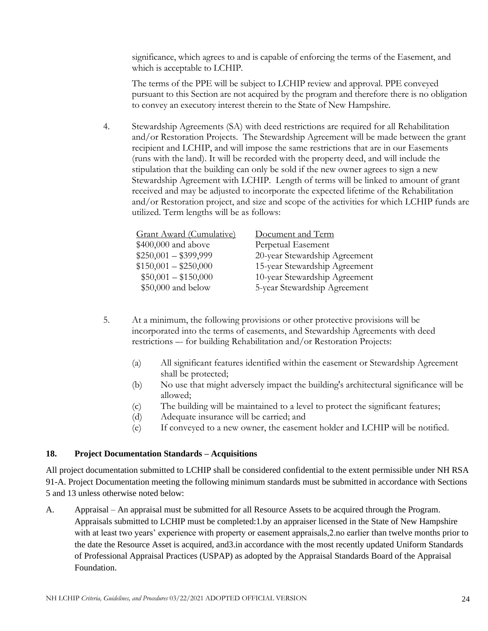significance, which agrees to and is capable of enforcing the terms of the Easement, and which is acceptable to LCHIP.

The terms of the PPE will be subject to LCHIP review and approval. PPE conveyed pursuant to this Section are not acquired by the program and therefore there is no obligation to convey an executory interest therein to the State of New Hampshire.

4. Stewardship Agreements (SA) with deed restrictions are required for all Rehabilitation and/or Restoration Projects. The Stewardship Agreement will be made between the grant recipient and LCHIP, and will impose the same restrictions that are in our Easements (runs with the land). It will be recorded with the property deed, and will include the stipulation that the building can only be sold if the new owner agrees to sign a new Stewardship Agreement with LCHIP. Length of terms will be linked to amount of grant received and may be adjusted to incorporate the expected lifetime of the Rehabilitation and/or Restoration project, and size and scope of the activities for which LCHIP funds are utilized. Term lengths will be as follows:

| Document and Term             |
|-------------------------------|
| Perpetual Easement            |
| 20-year Stewardship Agreement |
| 15-year Stewardship Agreement |
| 10-year Stewardship Agreement |
| 5-year Stewardship Agreement  |
|                               |

- 5. At a minimum, the following provisions or other protective provisions will be incorporated into the terms of easements, and Stewardship Agreements with deed restrictions –- for building Rehabilitation and/or Restoration Projects:
	- (a) All significant features identified within the easement or Stewardship Agreement shall be protected;
	- (b) No use that might adversely impact the building's architectural significance will be allowed;
	- (c) The building will be maintained to a level to protect the significant features;
	- (d) Adequate insurance will be carried; and
	- (e) If conveyed to a new owner, the easement holder and LCHIP will be notified.

### **18. Project Documentation Standards – Acquisitions**

All project documentation submitted to LCHIP shall be considered confidential to the extent permissible under NH RSA 91-A. Project Documentation meeting the following minimum standards must be submitted in accordance with Sections 5 and 13 unless otherwise noted below:

A. Appraisal – An appraisal must be submitted for all Resource Assets to be acquired through the Program. Appraisals submitted to LCHIP must be completed:1.by an appraiser licensed in the State of New Hampshire with at least two years' experience with property or easement appraisals, 2. no earlier than twelve months prior to the date the Resource Asset is acquired, and3.in accordance with the most recently updated Uniform Standards of Professional Appraisal Practices (USPAP) as adopted by the Appraisal Standards Board of the Appraisal Foundation.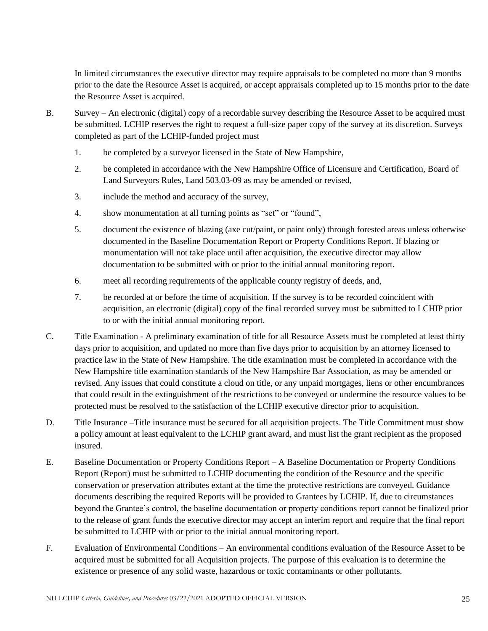In limited circumstances the executive director may require appraisals to be completed no more than 9 months prior to the date the Resource Asset is acquired, or accept appraisals completed up to 15 months prior to the date the Resource Asset is acquired.

- B. Survey An electronic (digital) copy of a recordable survey describing the Resource Asset to be acquired must be submitted. LCHIP reserves the right to request a full-size paper copy of the survey at its discretion. Surveys completed as part of the LCHIP-funded project must
	- 1. be completed by a surveyor licensed in the State of New Hampshire,
	- 2. be completed in accordance with the New Hampshire Office of Licensure and Certification, Board of Land Surveyors Rules, Land 503.03-09 as may be amended or revised,
	- 3. include the method and accuracy of the survey,
	- 4. show monumentation at all turning points as "set" or "found",
	- 5. document the existence of blazing (axe cut/paint, or paint only) through forested areas unless otherwise documented in the Baseline Documentation Report or Property Conditions Report. If blazing or monumentation will not take place until after acquisition, the executive director may allow documentation to be submitted with or prior to the initial annual monitoring report.
	- 6. meet all recording requirements of the applicable county registry of deeds, and,
	- 7. be recorded at or before the time of acquisition. If the survey is to be recorded coincident with acquisition, an electronic (digital) copy of the final recorded survey must be submitted to LCHIP prior to or with the initial annual monitoring report.
- C. Title Examination A preliminary examination of title for all Resource Assets must be completed at least thirty days prior to acquisition, and updated no more than five days prior to acquisition by an attorney licensed to practice law in the State of New Hampshire. The title examination must be completed in accordance with the New Hampshire title examination standards of the New Hampshire Bar Association, as may be amended or revised. Any issues that could constitute a cloud on title, or any unpaid mortgages, liens or other encumbrances that could result in the extinguishment of the restrictions to be conveyed or undermine the resource values to be protected must be resolved to the satisfaction of the LCHIP executive director prior to acquisition.
- D. Title Insurance –Title insurance must be secured for all acquisition projects. The Title Commitment must show a policy amount at least equivalent to the LCHIP grant award, and must list the grant recipient as the proposed insured.
- E. Baseline Documentation or Property Conditions Report A Baseline Documentation or Property Conditions Report (Report) must be submitted to LCHIP documenting the condition of the Resource and the specific conservation or preservation attributes extant at the time the protective restrictions are conveyed. Guidance documents describing the required Reports will be provided to Grantees by LCHIP. If, due to circumstances beyond the Grantee's control, the baseline documentation or property conditions report cannot be finalized prior to the release of grant funds the executive director may accept an interim report and require that the final report be submitted to LCHIP with or prior to the initial annual monitoring report.
- F. Evaluation of Environmental Conditions An environmental conditions evaluation of the Resource Asset to be acquired must be submitted for all Acquisition projects. The purpose of this evaluation is to determine the existence or presence of any solid waste, hazardous or toxic contaminants or other pollutants.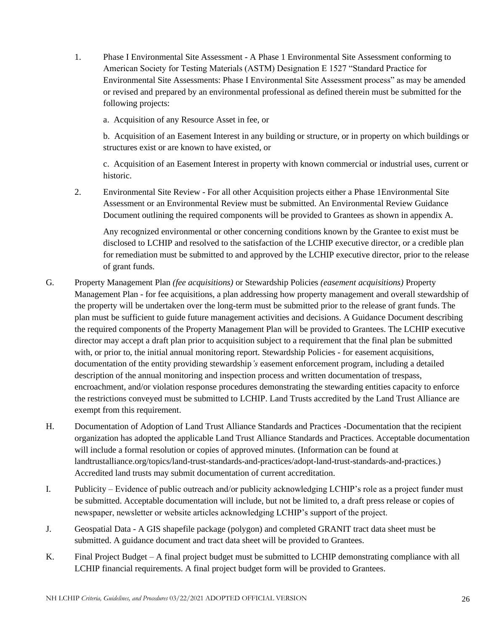1. Phase I Environmental Site Assessment - A Phase 1 Environmental Site Assessment conforming to American Society for Testing Materials (ASTM) Designation E 1527 "Standard Practice for Environmental Site Assessments: Phase I Environmental Site Assessment process" as may be amended or revised and prepared by an environmental professional as defined therein must be submitted for the following projects:

a. Acquisition of any Resource Asset in fee, or

b. Acquisition of an Easement Interest in any building or structure, or in property on which buildings or structures exist or are known to have existed, or

c. Acquisition of an Easement Interest in property with known commercial or industrial uses, current or historic.

2. Environmental Site Review - For all other Acquisition projects either a Phase 1Environmental Site Assessment or an Environmental Review must be submitted. An Environmental Review Guidance Document outlining the required components will be provided to Grantees as shown in appendix A.

Any recognized environmental or other concerning conditions known by the Grantee to exist must be disclosed to LCHIP and resolved to the satisfaction of the LCHIP executive director, or a credible plan for remediation must be submitted to and approved by the LCHIP executive director, prior to the release of grant funds.

- G*.* Property Management Plan *(fee acquisitions)* or Stewardship Policies *(easement acquisitions)* Property Management Plan - for fee acquisitions, a plan addressing how property management and overall stewardship of the property will be undertaken over the long-term must be submitted prior to the release of grant funds. The plan must be sufficient to guide future management activities and decisions. A Guidance Document describing the required components of the Property Management Plan will be provided to Grantees. The LCHIP executive director may accept a draft plan prior to acquisition subject to a requirement that the final plan be submitted with, or prior to, the initial annual monitoring report. Stewardship Policies - for easement acquisitions, documentation of the entity providing stewardship*'s* easement enforcement program, including a detailed description of the annual monitoring and inspection process and written documentation of trespass, encroachment, and/or violation response procedures demonstrating the stewarding entities capacity to enforce the restrictions conveyed must be submitted to LCHIP. Land Trusts accredited by the Land Trust Alliance are exempt from this requirement.
- H. Documentation of Adoption of Land Trust Alliance Standards and Practices -Documentation that the recipient organization has adopted the applicable Land Trust Alliance Standards and Practices. Acceptable documentation will include a formal resolution or copies of approved minutes. (Information can be found at landtrustalliance.org/topics/land-trust-standards-and-practices/adopt-land-trust-standards-and-practices.) Accredited land trusts may submit documentation of current accreditation.
- I. Publicity Evidence of public outreach and/or publicity acknowledging LCHIP's role as a project funder must be submitted. Acceptable documentation will include, but not be limited to, a draft press release or copies of newspaper, newsletter or website articles acknowledging LCHIP's support of the project.
- J. Geospatial Data A GIS shapefile package (polygon) and completed GRANIT tract data sheet must be submitted. A guidance document and tract data sheet will be provided to Grantees.
- K. Final Project Budget A final project budget must be submitted to LCHIP demonstrating compliance with all LCHIP financial requirements. A final project budget form will be provided to Grantees.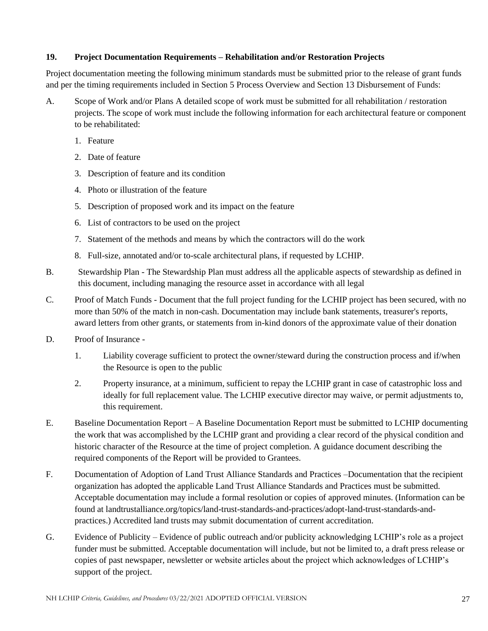#### **19. Project Documentation Requirements – Rehabilitation and/or Restoration Projects**

Project documentation meeting the following minimum standards must be submitted prior to the release of grant funds and per the timing requirements included in Section 5 Process Overview and Section 13 Disbursement of Funds:

- A. Scope of Work and/or Plans A detailed scope of work must be submitted for all rehabilitation / restoration projects. The scope of work must include the following information for each architectural feature or component to be rehabilitated:
	- 1. Feature
	- 2. Date of feature
	- 3. Description of feature and its condition
	- 4. Photo or illustration of the feature
	- 5. Description of proposed work and its impact on the feature
	- 6. List of contractors to be used on the project
	- 7. Statement of the methods and means by which the contractors will do the work
	- 8. Full-size, annotated and/or to-scale architectural plans, if requested by LCHIP.
- B. Stewardship Plan The Stewardship Plan must address all the applicable aspects of stewardship as defined in this document, including managing the resource asset in accordance with all legal
- C. Proof of Match Funds Document that the full project funding for the LCHIP project has been secured, with no more than 50% of the match in non-cash. Documentation may include bank statements, treasurer's reports, award letters from other grants, or statements from in-kind donors of the approximate value of their donation
- D. Proof of Insurance
	- 1. Liability coverage sufficient to protect the owner/steward during the construction process and if/when the Resource is open to the public
	- 2. Property insurance, at a minimum, sufficient to repay the LCHIP grant in case of catastrophic loss and ideally for full replacement value. The LCHIP executive director may waive, or permit adjustments to, this requirement.
- E. Baseline Documentation Report A Baseline Documentation Report must be submitted to LCHIP documenting the work that was accomplished by the LCHIP grant and providing a clear record of the physical condition and historic character of the Resource at the time of project completion. A guidance document describing the required components of the Report will be provided to Grantees.
- F. Documentation of Adoption of Land Trust Alliance Standards and Practices –Documentation that the recipient organization has adopted the applicable Land Trust Alliance Standards and Practices must be submitted. Acceptable documentation may include a formal resolution or copies of approved minutes. (Information can be found at landtrustalliance.org/topics/land-trust-standards-and-practices/adopt-land-trust-standards-andpractices.) Accredited land trusts may submit documentation of current accreditation.
- G. Evidence of Publicity Evidence of public outreach and/or publicity acknowledging LCHIP's role as a project funder must be submitted. Acceptable documentation will include, but not be limited to, a draft press release or copies of past newspaper, newsletter or website articles about the project which acknowledges of LCHIP's support of the project.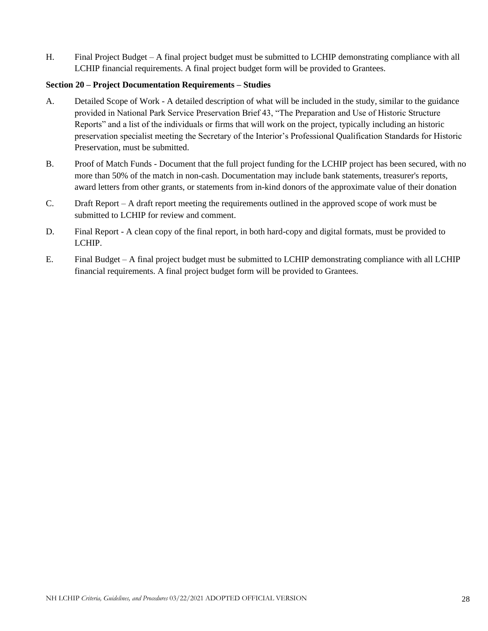H. Final Project Budget – A final project budget must be submitted to LCHIP demonstrating compliance with all LCHIP financial requirements. A final project budget form will be provided to Grantees.

#### **Section 20 – Project Documentation Requirements – Studies**

- A. Detailed Scope of Work A detailed description of what will be included in the study, similar to the guidance provided in National Park Service Preservation Brief 43, "The Preparation and Use of Historic Structure Reports" and a list of the individuals or firms that will work on the project, typically including an historic preservation specialist meeting the Secretary of the Interior's Professional Qualification Standards for Historic Preservation, must be submitted.
- B. Proof of Match Funds Document that the full project funding for the LCHIP project has been secured, with no more than 50% of the match in non-cash. Documentation may include bank statements, treasurer's reports, award letters from other grants, or statements from in-kind donors of the approximate value of their donation
- C. Draft Report A draft report meeting the requirements outlined in the approved scope of work must be submitted to LCHIP for review and comment.
- D. Final Report A clean copy of the final report, in both hard-copy and digital formats, must be provided to LCHIP.
- E. Final Budget A final project budget must be submitted to LCHIP demonstrating compliance with all LCHIP financial requirements. A final project budget form will be provided to Grantees.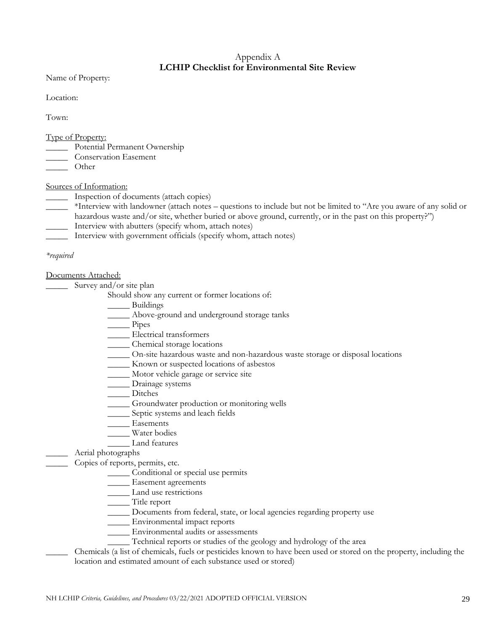## Appendix A **LCHIP Checklist for Environmental Site Review**

Name of Property:

Location:

Town:

Type of Property:

- \_\_\_\_\_ Potential Permanent Ownership
- \_\_\_\_\_ Conservation Easement
- \_\_\_\_\_ Other

Sources of Information:

- \_\_\_\_\_ Inspection of documents (attach copies)
- \_\_\_\_\_ \*Interview with landowner (attach notes questions to include but not be limited to "Are you aware of any solid or hazardous waste and/or site, whether buried or above ground, currently, or in the past on this property?")
- \_\_\_\_\_ Interview with abutters (specify whom, attach notes)
- \_\_\_\_\_ Interview with government officials (specify whom, attach notes)

#### *\*required*

Documents Attached:

Survey and/or site plan

Should show any current or former locations of:

- Buildings
- \_\_\_\_\_ Above-ground and underground storage tanks
- \_\_\_\_\_ Pipes
- \_\_\_\_\_ Electrical transformers
- \_\_\_\_\_ Chemical storage locations
- \_\_\_\_\_ On-site hazardous waste and non-hazardous waste storage or disposal locations
- \_\_\_\_\_ Known or suspected locations of asbestos
- \_\_\_\_\_ Motor vehicle garage or service site
- \_\_\_\_\_ Drainage systems
- Ditches
- \_\_\_\_\_ Groundwater production or monitoring wells
- \_\_\_\_\_ Septic systems and leach fields
- Easements
	- Water bodies
	- \_\_\_\_\_ Land features

### \_\_\_\_\_ Aerial photographs

Copies of reports, permits, etc.

- \_\_\_\_\_ Conditional or special use permits
- \_\_\_\_\_ Easement agreements
- Land use restrictions
- \_\_\_\_\_ Title report
- \_\_\_\_\_ Documents from federal, state, or local agencies regarding property use
- \_\_\_\_\_ Environmental impact reports
- \_\_\_\_\_ Environmental audits or assessments
- \_\_\_\_\_ Technical reports or studies of the geology and hydrology of the area
- \_\_\_\_\_ Chemicals (a list of chemicals, fuels or pesticides known to have been used or stored on the property, including the location and estimated amount of each substance used or stored)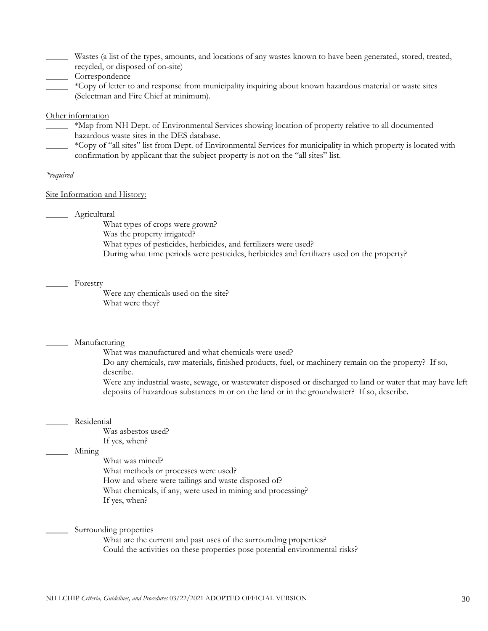- \_\_\_\_\_ Wastes (a list of the types, amounts, and locations of any wastes known to have been generated, stored, treated, recycled, or disposed of on-site)
- \_\_\_\_\_ Correspondence
- \_\_\_\_\_ \*Copy of letter to and response from municipality inquiring about known hazardous material or waste sites (Selectman and Fire Chief at minimum).

#### Other information

- \_\_\_\_\_ \*Map from NH Dept. of Environmental Services showing location of property relative to all documented hazardous waste sites in the DES database.
- \_\_\_\_\_ \*Copy of "all sites" list from Dept. of Environmental Services for municipality in which property is located with confirmation by applicant that the subject property is not on the "all sites" list.

#### *\*required*

#### Site Information and History:

\_\_\_\_\_ Agricultural

What types of crops were grown? Was the property irrigated? What types of pesticides, herbicides, and fertilizers were used? During what time periods were pesticides, herbicides and fertilizers used on the property?

#### Forestry

Were any chemicals used on the site? What were they?

#### \_\_\_\_\_ Manufacturing

What was manufactured and what chemicals were used?

Do any chemicals, raw materials, finished products, fuel, or machinery remain on the property? If so, describe.

Were any industrial waste, sewage, or wastewater disposed or discharged to land or water that may have left deposits of hazardous substances in or on the land or in the groundwater? If so, describe.

#### \_\_\_\_\_ Residential

Was asbestos used? If yes, when?

#### \_\_\_\_\_ Mining

What was mined? What methods or processes were used? How and where were tailings and waste disposed of? What chemicals, if any, were used in mining and processing? If yes, when?

Surrounding properties

What are the current and past uses of the surrounding properties? Could the activities on these properties pose potential environmental risks?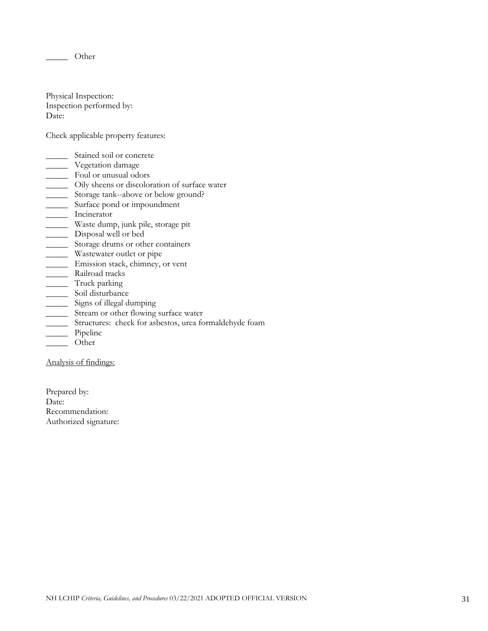\_\_\_\_\_ Other

Physical Inspection: Inspection performed by: Date:

Check applicable property features:

- \_\_\_\_\_ Stained soil or concrete
- \_\_\_\_\_ Vegetation damage
- \_\_\_\_\_ Foul or unusual odors
- \_\_\_\_\_ Oily sheens or discoloration of surface water
- \_\_\_\_\_ Storage tank--above or below ground?
- \_\_\_\_\_ Surface pond or impoundment
- \_\_\_\_\_ Incinerator
- \_\_\_\_\_ Waste dump, junk pile, storage pit
- \_\_\_\_\_ Disposal well or bed
- \_\_\_\_\_ Storage drums or other containers
- \_\_\_\_\_ Wastewater outlet or pipe
- \_\_\_\_\_ Emission stack, chimney, or vent
- \_\_\_\_\_ Railroad tracks
- \_\_\_\_\_ Truck parking
- \_\_\_\_\_\_\_ Soil disturbance
- \_\_\_\_\_ Signs of illegal dumping
- \_\_\_\_\_ Stream or other flowing surface water
- \_\_\_\_\_ Structures: check for asbestos, urea formaldehyde foam
- \_\_\_\_\_ Pipeline
- \_\_\_\_\_ Other

Analysis of findings:

Prepared by: Date: Recommendation: Authorized signature: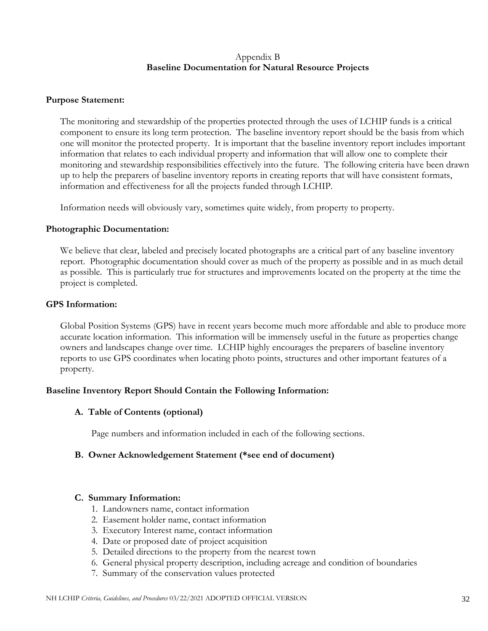## Appendix B **Baseline Documentation for Natural Resource Projects**

#### **Purpose Statement:**

The monitoring and stewardship of the properties protected through the uses of LCHIP funds is a critical component to ensure its long term protection. The baseline inventory report should be the basis from which one will monitor the protected property. It is important that the baseline inventory report includes important information that relates to each individual property and information that will allow one to complete their monitoring and stewardship responsibilities effectively into the future. The following criteria have been drawn up to help the preparers of baseline inventory reports in creating reports that will have consistent formats, information and effectiveness for all the projects funded through LCHIP.

Information needs will obviously vary, sometimes quite widely, from property to property.

#### **Photographic Documentation:**

We believe that clear, labeled and precisely located photographs are a critical part of any baseline inventory report. Photographic documentation should cover as much of the property as possible and in as much detail as possible. This is particularly true for structures and improvements located on the property at the time the project is completed.

#### **GPS Information:**

Global Position Systems (GPS) have in recent years become much more affordable and able to produce more accurate location information. This information will be immensely useful in the future as properties change owners and landscapes change over time. LCHIP highly encourages the preparers of baseline inventory reports to use GPS coordinates when locating photo points, structures and other important features of a property.

### **Baseline Inventory Report Should Contain the Following Information:**

#### **A. Table of Contents (optional)**

Page numbers and information included in each of the following sections.

### **B. Owner Acknowledgement Statement (\*see end of document)**

#### **C. Summary Information:**

- 1. Landowners name, contact information
- 2. Easement holder name, contact information
- 3. Executory Interest name, contact information
- 4. Date or proposed date of project acquisition
- 5. Detailed directions to the property from the nearest town
- 6. General physical property description, including acreage and condition of boundaries
- 7. Summary of the conservation values protected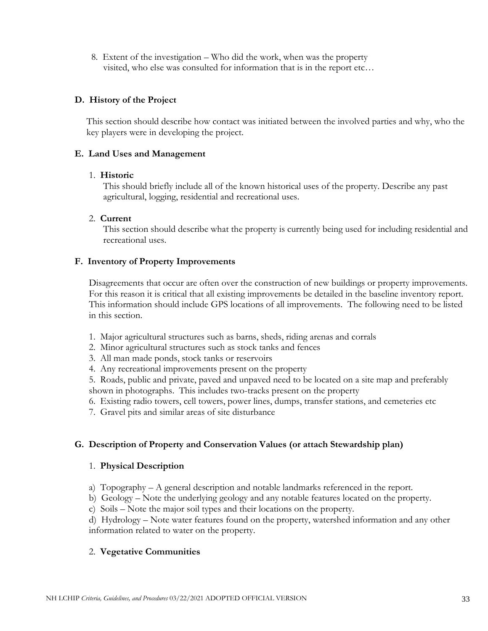8. Extent of the investigation – Who did the work, when was the property visited, who else was consulted for information that is in the report etc…

#### **D. History of the Project**

This section should describe how contact was initiated between the involved parties and why, who the key players were in developing the project.

#### **E. Land Uses and Management**

#### 1. **Historic**

This should briefly include all of the known historical uses of the property. Describe any past agricultural, logging, residential and recreational uses.

#### 2. **Current**

This section should describe what the property is currently being used for including residential and recreational uses.

#### **F. Inventory of Property Improvements**

Disagreements that occur are often over the construction of new buildings or property improvements. For this reason it is critical that all existing improvements be detailed in the baseline inventory report. This information should include GPS locations of all improvements. The following need to be listed in this section.

- 1. Major agricultural structures such as barns, sheds, riding arenas and corrals
- 2. Minor agricultural structures such as stock tanks and fences
- 3. All man made ponds, stock tanks or reservoirs
- 4. Any recreational improvements present on the property
- 5. Roads, public and private, paved and unpaved need to be located on a site map and preferably shown in photographs. This includes two-tracks present on the property
- 6. Existing radio towers, cell towers, power lines, dumps, transfer stations, and cemeteries etc
- 7. Gravel pits and similar areas of site disturbance

### **G. Description of Property and Conservation Values (or attach Stewardship plan)**

#### 1. **Physical Description**

- a) Topography A general description and notable landmarks referenced in the report.
- b) Geology Note the underlying geology and any notable features located on the property.
- c) Soils Note the major soil types and their locations on the property.

d) Hydrology – Note water features found on the property, watershed information and any other information related to water on the property.

### 2. **Vegetative Communities**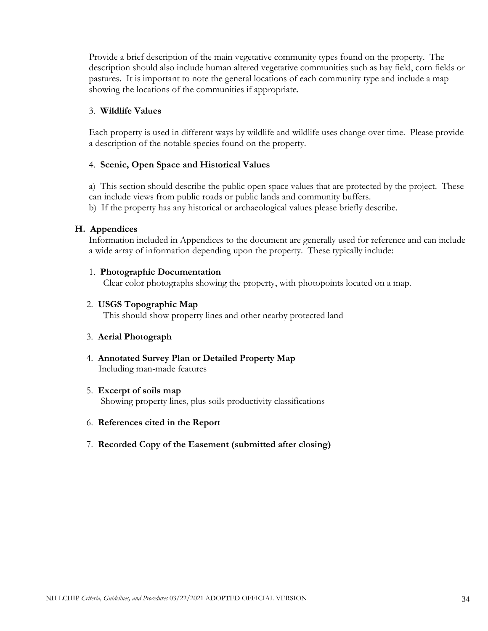Provide a brief description of the main vegetative community types found on the property. The description should also include human altered vegetative communities such as hay field, corn fields or pastures. It is important to note the general locations of each community type and include a map showing the locations of the communities if appropriate.

#### 3. **Wildlife Values**

Each property is used in different ways by wildlife and wildlife uses change over time. Please provide a description of the notable species found on the property.

### 4. **Scenic, Open Space and Historical Values**

a) This section should describe the public open space values that are protected by the project. These can include views from public roads or public lands and community buffers.

b) If the property has any historical or archaeological values please briefly describe.

#### **H. Appendices**

Information included in Appendices to the document are generally used for reference and can include a wide array of information depending upon the property. These typically include:

#### 1. **Photographic Documentation**

Clear color photographs showing the property, with photopoints located on a map.

#### 2. **USGS Topographic Map**

This should show property lines and other nearby protected land

#### 3. **Aerial Photograph**

4. **Annotated Survey Plan or Detailed Property Map** Including man-made features

#### 5. **Excerpt of soils map**

Showing property lines, plus soils productivity classifications

#### 6. **References cited in the Report**

7. **Recorded Copy of the Easement (submitted after closing)**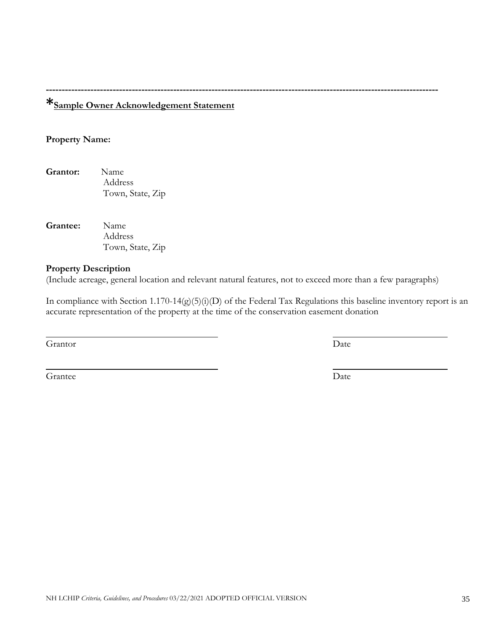# **\*Sample Owner Acknowledgement Statement**

## **Property Name:**

**Grantor:** Name Address Town, State, Zip

**Grantee:** Name Address Town, State, Zip

### **Property Description**

(Include acreage, general location and relevant natural features, not to exceed more than a few paragraphs)

**---------------------------------------------------------------------------------------------------------------------------**

In compliance with Section 1.170-14(g)(5)(i)(D) of the Federal Tax Regulations this baseline inventory report is an accurate representation of the property at the time of the conservation easement donation

Grantor Date

<span id="page-34-0"></span>Grantee Date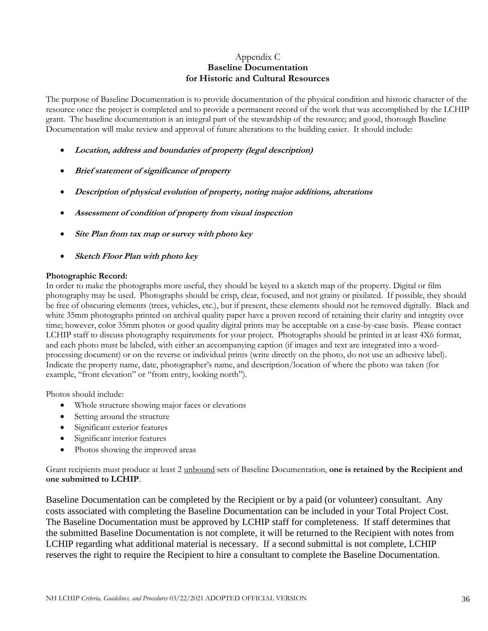#### Appendix C **Baseline Documentation for Historic and Cultural Resources**

The purpose of Baseline Documentation is to provide documentation of the physical condition and historic character of the resource once the project is completed and to provide a permanent record of the work that was accomplished by the LCHIP grant. The baseline documentation is an integral part of the stewardship of the resource; and good, thorough Baseline Documentation will make review and approval of future alterations to the building easier. It should include:

- **Location, address and boundaries of property (legal description)**
- **Brief statement of significance of property**
- **Description of physical evolution of property, noting major additions, alterations**
- **Assessment of condition of property from visual inspection**
- **Site Plan from tax map or survey with photo key**
- **Sketch Floor Plan with photo key**

#### **Photographic Record:**

In order to make the photographs more useful, they should be keyed to a sketch map of the property. Digital or film photography may be used. Photographs should be crisp, clear, focused, and not grainy or pixilated. If possible, they should be free of obscuring elements (trees, vehicles, etc.), but if present, these elements should not be removed digitally. Black and white 35mm photographs printed on archival quality paper have a proven record of retaining their clarity and integrity over time; however, color 35mm photos or good quality digital prints may be acceptable on a case-by-case basis. Please contact LCHIP staff to discuss photography requirements for your project. Photographs should be printed in at least 4X6 format, and each photo must be labeled, with either an accompanying caption (if images and text are integrated into a wordprocessing document) or on the reverse or individual prints (write directly on the photo, do not use an adhesive label). Indicate the property name, date, photographer's name, and description/location of where the photo was taken (for example, "front elevation" or "from entry, looking north").

Photos should include:

- Whole structure showing major faces or elevations
- Setting around the structure
- Significant exterior features
- Significant interior features
- Photos showing the improved areas

Grant recipients must produce at least 2 unbound sets of Baseline Documentation, **one is retained by the Recipient and one submitted to LCHIP**.

Baseline Documentation can be completed by the Recipient or by a paid (or volunteer) consultant. Any costs associated with completing the Baseline Documentation can be included in your Total Project Cost. The Baseline Documentation must be approved by LCHIP staff for completeness. If staff determines that the submitted Baseline Documentation is not complete, it will be returned to the Recipient with notes from LCHIP regarding what additional material is necessary. If a second submittal is not complete, LCHIP reserves the right to require the Recipient to hire a consultant to complete the Baseline Documentation.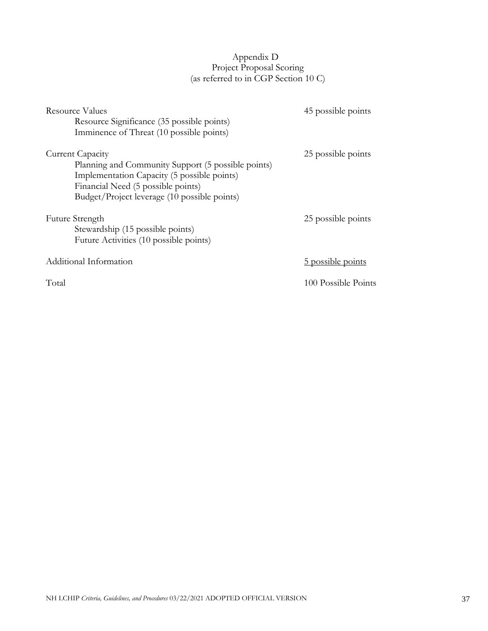# Appendix D Project Proposal Scoring (as referred to in CGP Section 10 C)

| Resource Values                                    | 45 possible points  |
|----------------------------------------------------|---------------------|
| Resource Significance (35 possible points)         |                     |
| Imminence of Threat (10 possible points)           |                     |
| Current Capacity                                   | 25 possible points  |
| Planning and Community Support (5 possible points) |                     |
| Implementation Capacity (5 possible points)        |                     |
| Financial Need (5 possible points)                 |                     |
| Budget/Project leverage (10 possible points)       |                     |
| <b>Future Strength</b>                             | 25 possible points  |
| Stewardship (15 possible points)                   |                     |
| Future Activities (10 possible points)             |                     |
| Additional Information                             | 5 possible points   |
| Total                                              | 100 Possible Points |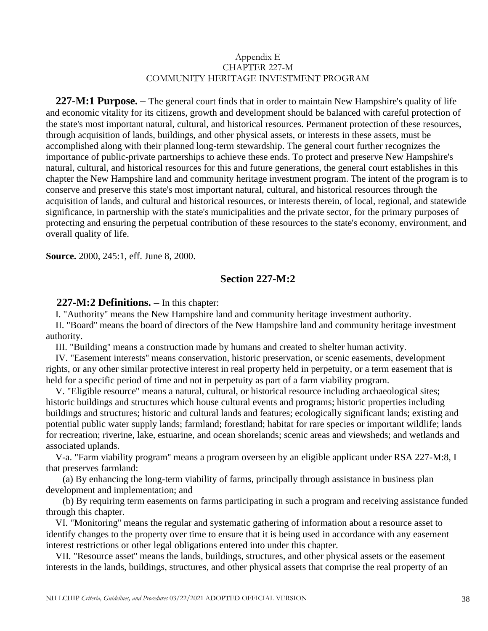#### Appendix E CHAPTER 227-M COMMUNITY HERITAGE INVESTMENT PROGRAM

 **227-M:1 Purpose. –** The general court finds that in order to maintain New Hampshire's quality of life and economic vitality for its citizens, growth and development should be balanced with careful protection of the state's most important natural, cultural, and historical resources. Permanent protection of these resources, through acquisition of lands, buildings, and other physical assets, or interests in these assets, must be accomplished along with their planned long-term stewardship. The general court further recognizes the importance of public-private partnerships to achieve these ends. To protect and preserve New Hampshire's natural, cultural, and historical resources for this and future generations, the general court establishes in this chapter the New Hampshire land and community heritage investment program. The intent of the program is to conserve and preserve this state's most important natural, cultural, and historical resources through the acquisition of lands, and cultural and historical resources, or interests therein, of local, regional, and statewide significance, in partnership with the state's municipalities and the private sector, for the primary purposes of protecting and ensuring the perpetual contribution of these resources to the state's economy, environment, and overall quality of life.

**Source.** 2000, 245:1, eff. June 8, 2000.

# **Section 227-M:2**

#### **227-M:2 Definitions. –** In this chapter:

I. "Authority'' means the New Hampshire land and community heritage investment authority.

 II. "Board'' means the board of directors of the New Hampshire land and community heritage investment authority.

III. "Building'' means a construction made by humans and created to shelter human activity.

 IV. "Easement interests'' means conservation, historic preservation, or scenic easements, development rights, or any other similar protective interest in real property held in perpetuity, or a term easement that is held for a specific period of time and not in perpetuity as part of a farm viability program.

 V. "Eligible resource'' means a natural, cultural, or historical resource including archaeological sites; historic buildings and structures which house cultural events and programs; historic properties including buildings and structures; historic and cultural lands and features; ecologically significant lands; existing and potential public water supply lands; farmland; forestland; habitat for rare species or important wildlife; lands for recreation; riverine, lake, estuarine, and ocean shorelands; scenic areas and viewsheds; and wetlands and associated uplands.

 V-a. "Farm viability program'' means a program overseen by an eligible applicant under RSA 227-M:8, I that preserves farmland:

 (a) By enhancing the long-term viability of farms, principally through assistance in business plan development and implementation; and

 (b) By requiring term easements on farms participating in such a program and receiving assistance funded through this chapter.

 VI. "Monitoring'' means the regular and systematic gathering of information about a resource asset to identify changes to the property over time to ensure that it is being used in accordance with any easement interest restrictions or other legal obligations entered into under this chapter.

 VII. "Resource asset'' means the lands, buildings, structures, and other physical assets or the easement interests in the lands, buildings, structures, and other physical assets that comprise the real property of an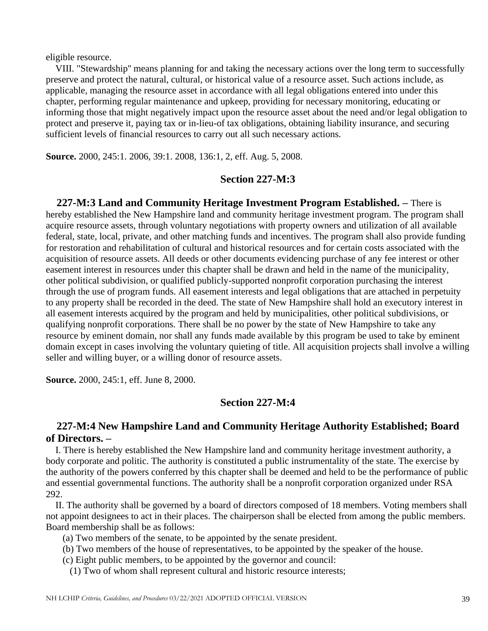eligible resource.

 VIII. "Stewardship'' means planning for and taking the necessary actions over the long term to successfully preserve and protect the natural, cultural, or historical value of a resource asset. Such actions include, as applicable, managing the resource asset in accordance with all legal obligations entered into under this chapter, performing regular maintenance and upkeep, providing for necessary monitoring, educating or informing those that might negatively impact upon the resource asset about the need and/or legal obligation to protect and preserve it, paying tax or in-lieu-of tax obligations, obtaining liability insurance, and securing sufficient levels of financial resources to carry out all such necessary actions.

**Source.** 2000, 245:1. 2006, 39:1. 2008, 136:1, 2, eff. Aug. 5, 2008.

## **Section 227-M:3**

 **227-M:3 Land and Community Heritage Investment Program Established. –** There is hereby established the New Hampshire land and community heritage investment program. The program shall acquire resource assets, through voluntary negotiations with property owners and utilization of all available federal, state, local, private, and other matching funds and incentives. The program shall also provide funding for restoration and rehabilitation of cultural and historical resources and for certain costs associated with the acquisition of resource assets. All deeds or other documents evidencing purchase of any fee interest or other easement interest in resources under this chapter shall be drawn and held in the name of the municipality, other political subdivision, or qualified publicly-supported nonprofit corporation purchasing the interest through the use of program funds. All easement interests and legal obligations that are attached in perpetuity to any property shall be recorded in the deed. The state of New Hampshire shall hold an executory interest in all easement interests acquired by the program and held by municipalities, other political subdivisions, or qualifying nonprofit corporations. There shall be no power by the state of New Hampshire to take any resource by eminent domain, nor shall any funds made available by this program be used to take by eminent domain except in cases involving the voluntary quieting of title. All acquisition projects shall involve a willing seller and willing buyer, or a willing donor of resource assets.

**Source.** 2000, 245:1, eff. June 8, 2000.

## **Section 227-M:4**

# **227-M:4 New Hampshire Land and Community Heritage Authority Established; Board of Directors. –**

 I. There is hereby established the New Hampshire land and community heritage investment authority, a body corporate and politic. The authority is constituted a public instrumentality of the state. The exercise by the authority of the powers conferred by this chapter shall be deemed and held to be the performance of public and essential governmental functions. The authority shall be a nonprofit corporation organized under RSA 292.

 II. The authority shall be governed by a board of directors composed of 18 members. Voting members shall not appoint designees to act in their places. The chairperson shall be elected from among the public members. Board membership shall be as follows:

- (a) Two members of the senate, to be appointed by the senate president.
- (b) Two members of the house of representatives, to be appointed by the speaker of the house.
- (c) Eight public members, to be appointed by the governor and council:
	- (1) Two of whom shall represent cultural and historic resource interests;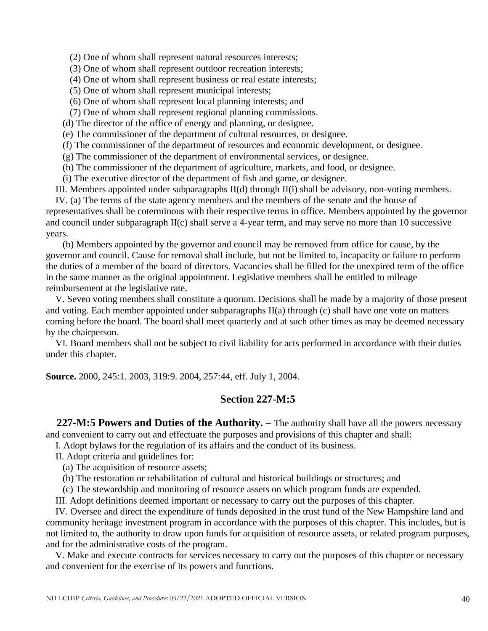(2) One of whom shall represent natural resources interests;

(3) One of whom shall represent outdoor recreation interests;

(4) One of whom shall represent business or real estate interests;

(5) One of whom shall represent municipal interests;

(6) One of whom shall represent local planning interests; and

(7) One of whom shall represent regional planning commissions.

(d) The director of the office of energy and planning, or designee.

(e) The commissioner of the department of cultural resources, or designee.

(f) The commissioner of the department of resources and economic development, or designee.

(g) The commissioner of the department of environmental services, or designee.

(h) The commissioner of the department of agriculture, markets, and food, or designee.

(i) The executive director of the department of fish and game, or designee.

III. Members appointed under subparagraphs II(d) through II(i) shall be advisory, non-voting members.

 IV. (a) The terms of the state agency members and the members of the senate and the house of representatives shall be coterminous with their respective terms in office. Members appointed by the governor and council under subparagraph II(c) shall serve a 4-year term, and may serve no more than 10 successive years.

 (b) Members appointed by the governor and council may be removed from office for cause, by the governor and council. Cause for removal shall include, but not be limited to, incapacity or failure to perform the duties of a member of the board of directors. Vacancies shall be filled for the unexpired term of the office in the same manner as the original appointment. Legislative members shall be entitled to mileage reimbursement at the legislative rate.

 V. Seven voting members shall constitute a quorum. Decisions shall be made by a majority of those present and voting. Each member appointed under subparagraphs II(a) through (c) shall have one vote on matters coming before the board. The board shall meet quarterly and at such other times as may be deemed necessary by the chairperson.

 VI. Board members shall not be subject to civil liability for acts performed in accordance with their duties under this chapter.

**Source.** 2000, 245:1. 2003, 319:9. 2004, 257:44, eff. July 1, 2004.

## **Section 227-M:5**

 **227-M:5 Powers and Duties of the Authority. –** The authority shall have all the powers necessary and convenient to carry out and effectuate the purposes and provisions of this chapter and shall:

I. Adopt bylaws for the regulation of its affairs and the conduct of its business.

II. Adopt criteria and guidelines for:

(a) The acquisition of resource assets;

(b) The restoration or rehabilitation of cultural and historical buildings or structures; and

(c) The stewardship and monitoring of resource assets on which program funds are expended.

III. Adopt definitions deemed important or necessary to carry out the purposes of this chapter.

 IV. Oversee and direct the expenditure of funds deposited in the trust fund of the New Hampshire land and community heritage investment program in accordance with the purposes of this chapter. This includes, but is not limited to, the authority to draw upon funds for acquisition of resource assets, or related program purposes, and for the administrative costs of the program.

 V. Make and execute contracts for services necessary to carry out the purposes of this chapter or necessary and convenient for the exercise of its powers and functions.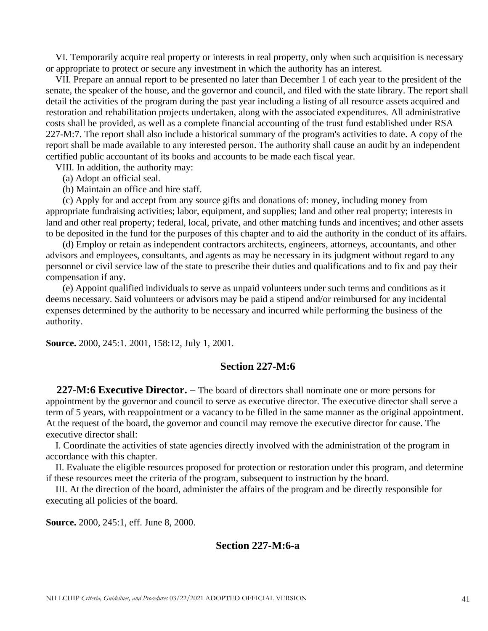VI. Temporarily acquire real property or interests in real property, only when such acquisition is necessary or appropriate to protect or secure any investment in which the authority has an interest.

 VII. Prepare an annual report to be presented no later than December 1 of each year to the president of the senate, the speaker of the house, and the governor and council, and filed with the state library. The report shall detail the activities of the program during the past year including a listing of all resource assets acquired and restoration and rehabilitation projects undertaken, along with the associated expenditures. All administrative costs shall be provided, as well as a complete financial accounting of the trust fund established under RSA 227-M:7. The report shall also include a historical summary of the program's activities to date. A copy of the report shall be made available to any interested person. The authority shall cause an audit by an independent certified public accountant of its books and accounts to be made each fiscal year.

VIII. In addition, the authority may:

(a) Adopt an official seal.

(b) Maintain an office and hire staff.

 (c) Apply for and accept from any source gifts and donations of: money, including money from appropriate fundraising activities; labor, equipment, and supplies; land and other real property; interests in land and other real property; federal, local, private, and other matching funds and incentives; and other assets to be deposited in the fund for the purposes of this chapter and to aid the authority in the conduct of its affairs.

 (d) Employ or retain as independent contractors architects, engineers, attorneys, accountants, and other advisors and employees, consultants, and agents as may be necessary in its judgment without regard to any personnel or civil service law of the state to prescribe their duties and qualifications and to fix and pay their compensation if any.

 (e) Appoint qualified individuals to serve as unpaid volunteers under such terms and conditions as it deems necessary. Said volunteers or advisors may be paid a stipend and/or reimbursed for any incidental expenses determined by the authority to be necessary and incurred while performing the business of the authority.

**Source.** 2000, 245:1. 2001, 158:12, July 1, 2001.

#### **Section 227-M:6**

 **227-M:6 Executive Director. –** The board of directors shall nominate one or more persons for appointment by the governor and council to serve as executive director. The executive director shall serve a term of 5 years, with reappointment or a vacancy to be filled in the same manner as the original appointment. At the request of the board, the governor and council may remove the executive director for cause. The executive director shall:

 I. Coordinate the activities of state agencies directly involved with the administration of the program in accordance with this chapter.

 II. Evaluate the eligible resources proposed for protection or restoration under this program, and determine if these resources meet the criteria of the program, subsequent to instruction by the board.

 III. At the direction of the board, administer the affairs of the program and be directly responsible for executing all policies of the board.

**Source.** 2000, 245:1, eff. June 8, 2000.

## **Section 227-M:6-a**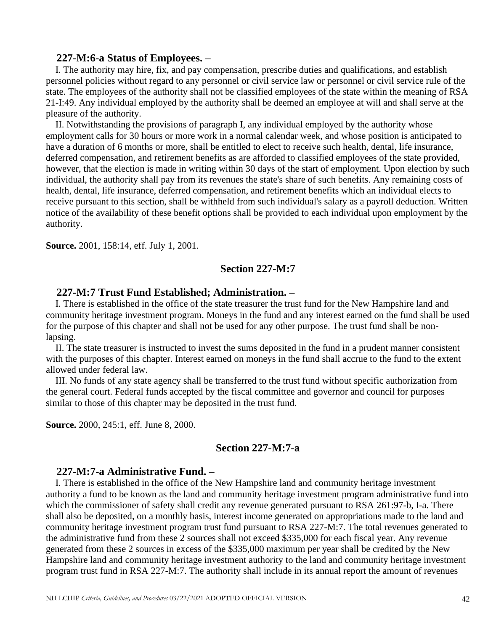#### **227-M:6-a Status of Employees. –**

 I. The authority may hire, fix, and pay compensation, prescribe duties and qualifications, and establish personnel policies without regard to any personnel or civil service law or personnel or civil service rule of the state. The employees of the authority shall not be classified employees of the state within the meaning of RSA 21-I:49. Any individual employed by the authority shall be deemed an employee at will and shall serve at the pleasure of the authority.

 II. Notwithstanding the provisions of paragraph I, any individual employed by the authority whose employment calls for 30 hours or more work in a normal calendar week, and whose position is anticipated to have a duration of 6 months or more, shall be entitled to elect to receive such health, dental, life insurance, deferred compensation, and retirement benefits as are afforded to classified employees of the state provided, however, that the election is made in writing within 30 days of the start of employment. Upon election by such individual, the authority shall pay from its revenues the state's share of such benefits. Any remaining costs of health, dental, life insurance, deferred compensation, and retirement benefits which an individual elects to receive pursuant to this section, shall be withheld from such individual's salary as a payroll deduction. Written notice of the availability of these benefit options shall be provided to each individual upon employment by the authority.

**Source.** 2001, 158:14, eff. July 1, 2001.

## **Section 227-M:7**

#### **227-M:7 Trust Fund Established; Administration. –**

 I. There is established in the office of the state treasurer the trust fund for the New Hampshire land and community heritage investment program. Moneys in the fund and any interest earned on the fund shall be used for the purpose of this chapter and shall not be used for any other purpose. The trust fund shall be nonlapsing.

 II. The state treasurer is instructed to invest the sums deposited in the fund in a prudent manner consistent with the purposes of this chapter. Interest earned on moneys in the fund shall accrue to the fund to the extent allowed under federal law.

 III. No funds of any state agency shall be transferred to the trust fund without specific authorization from the general court. Federal funds accepted by the fiscal committee and governor and council for purposes similar to those of this chapter may be deposited in the trust fund.

**Source.** 2000, 245:1, eff. June 8, 2000.

## **Section 227-M:7-a**

#### **227-M:7-a Administrative Fund. –**

<span id="page-41-0"></span> I. There is established in the office of the New Hampshire land and community heritage investment authority a fund to be known as the land and community heritage investment program administrative fund into which the commissioner of safety shall credit any revenue generated pursuant to RSA 261:97-b, I-a. There shall also be deposited, on a monthly basis, interest income generated on appropriations made to the land and community heritage investment program trust fund pursuant to RSA 227-M:7. The total revenues generated to the administrative fund from these 2 sources shall not exceed \$335,000 for each fiscal year. Any revenue generated from these 2 sources in excess of the \$335,000 maximum per year shall be credited by the New Hampshire land and community heritage investment authority to the land and community heritage investment program trust fund in RSA 227-M:7. The authority shall include in its annual report the amount of revenues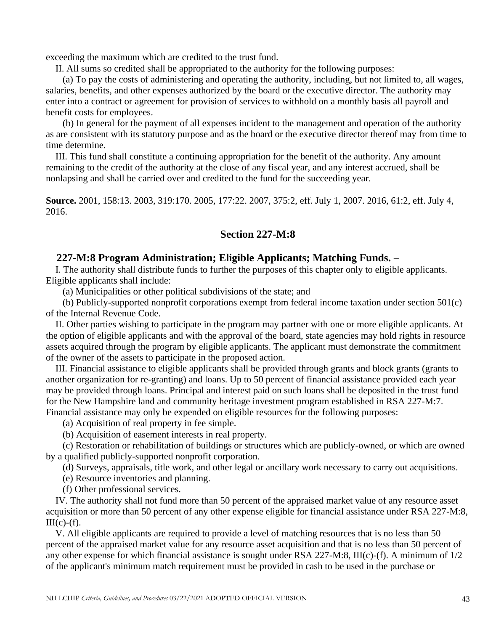exceeding the maximum which are credited to the trust fund.

II. All sums so credited shall be appropriated to the authority for the following purposes:

 (a) To pay the costs of administering and operating the authority, including, but not limited to, all wages, salaries, benefits, and other expenses authorized by the board or the executive director. The authority may enter into a contract or agreement for provision of services to withhold on a monthly basis all payroll and benefit costs for employees.

 (b) In general for the payment of all expenses incident to the management and operation of the authority as are consistent with its statutory purpose and as the board or the executive director thereof may from time to time determine.

 III. This fund shall constitute a continuing appropriation for the benefit of the authority. Any amount remaining to the credit of the authority at the close of any fiscal year, and any interest accrued, shall be nonlapsing and shall be carried over and credited to the fund for the succeeding year.

**Source.** 2001, 158:13. 2003, 319:170. 2005, 177:22. 2007, 375:2, eff. July 1, 2007. 2016, 61:2, eff. July 4, 2016.

## **Section 227-M:8**

## **227-M:8 Program Administration; Eligible Applicants; Matching Funds. –**

 I. The authority shall distribute funds to further the purposes of this chapter only to eligible applicants. Eligible applicants shall include:

(a) Municipalities or other political subdivisions of the state; and

 (b) Publicly-supported nonprofit corporations exempt from federal income taxation under section 501(c) of the Internal Revenue Code.

 II. Other parties wishing to participate in the program may partner with one or more eligible applicants. At the option of eligible applicants and with the approval of the board, state agencies may hold rights in resource assets acquired through the program by eligible applicants. The applicant must demonstrate the commitment of the owner of the assets to participate in the proposed action.

 III. Financial assistance to eligible applicants shall be provided through grants and block grants (grants to another organization for re-granting) and loans. Up to 50 percent of financial assistance provided each year may be provided through loans. Principal and interest paid on such loans shall be deposited in the trust fund for the New Hampshire land and community heritage investment program established in RSA 227-M:7. Financial assistance may only be expended on eligible resources for the following purposes:

(a) Acquisition of real property in fee simple.

(b) Acquisition of easement interests in real property.

 (c) Restoration or rehabilitation of buildings or structures which are publicly-owned, or which are owned by a qualified publicly-supported nonprofit corporation.

(d) Surveys, appraisals, title work, and other legal or ancillary work necessary to carry out acquisitions.

(e) Resource inventories and planning.

(f) Other professional services.

 IV. The authority shall not fund more than 50 percent of the appraised market value of any resource asset acquisition or more than 50 percent of any other expense eligible for financial assistance under RSA 227-M:8,  $III(c)-(f)$ .

 V. All eligible applicants are required to provide a level of matching resources that is no less than 50 percent of the appraised market value for any resource asset acquisition and that is no less than 50 percent of any other expense for which financial assistance is sought under RSA 227-M:8, III(c)-(f). A minimum of 1/2 of the applicant's minimum match requirement must be provided in cash to be used in the purchase or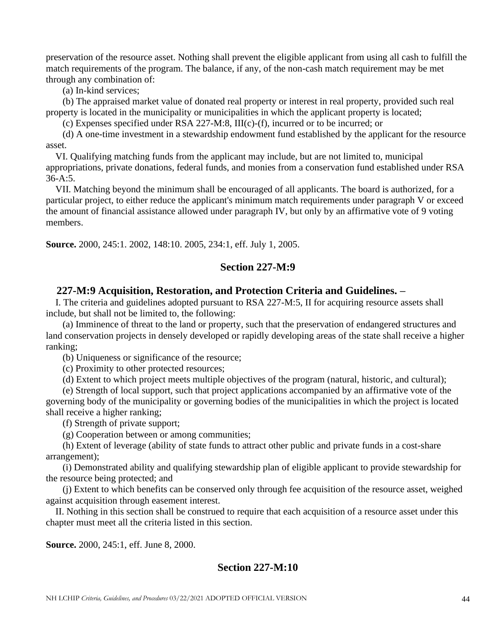preservation of the resource asset. Nothing shall prevent the eligible applicant from using all cash to fulfill the match requirements of the program. The balance, if any, of the non-cash match requirement may be met through any combination of:

(a) In-kind services;

 (b) The appraised market value of donated real property or interest in real property, provided such real property is located in the municipality or municipalities in which the applicant property is located;

(c) Expenses specified under RSA 227-M:8, III(c)-(f), incurred or to be incurred; or

 (d) A one-time investment in a stewardship endowment fund established by the applicant for the resource asset.

 VI. Qualifying matching funds from the applicant may include, but are not limited to, municipal appropriations, private donations, federal funds, and monies from a conservation fund established under RSA 36-A:5.

 VII. Matching beyond the minimum shall be encouraged of all applicants. The board is authorized, for a particular project, to either reduce the applicant's minimum match requirements under paragraph V or exceed the amount of financial assistance allowed under paragraph IV, but only by an affirmative vote of 9 voting members.

**Source.** 2000, 245:1. 2002, 148:10. 2005, 234:1, eff. July 1, 2005.

# **Section 227-M:9**

# **227-M:9 Acquisition, Restoration, and Protection Criteria and Guidelines. –**

 I. The criteria and guidelines adopted pursuant to RSA 227-M:5, II for acquiring resource assets shall include, but shall not be limited to, the following:

 (a) Imminence of threat to the land or property, such that the preservation of endangered structures and land conservation projects in densely developed or rapidly developing areas of the state shall receive a higher ranking;

(b) Uniqueness or significance of the resource;

(c) Proximity to other protected resources;

(d) Extent to which project meets multiple objectives of the program (natural, historic, and cultural);

 (e) Strength of local support, such that project applications accompanied by an affirmative vote of the governing body of the municipality or governing bodies of the municipalities in which the project is located shall receive a higher ranking;

(f) Strength of private support;

(g) Cooperation between or among communities;

 (h) Extent of leverage (ability of state funds to attract other public and private funds in a cost-share arrangement);

 (i) Demonstrated ability and qualifying stewardship plan of eligible applicant to provide stewardship for the resource being protected; and

 (j) Extent to which benefits can be conserved only through fee acquisition of the resource asset, weighed against acquisition through easement interest.

 II. Nothing in this section shall be construed to require that each acquisition of a resource asset under this chapter must meet all the criteria listed in this section.

**Source.** 2000, 245:1, eff. June 8, 2000.

# **Section 227-M:10**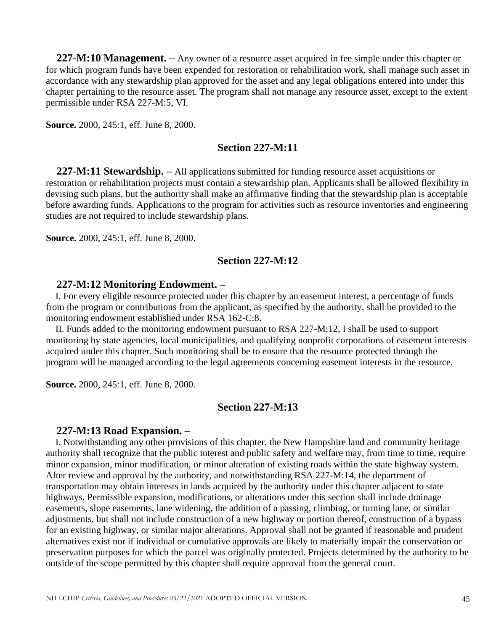**227-M:10 Management. –** Any owner of a resource asset acquired in fee simple under this chapter or for which program funds have been expended for restoration or rehabilitation work, shall manage such asset in accordance with any stewardship plan approved for the asset and any legal obligations entered into under this chapter pertaining to the resource asset. The program shall not manage any resource asset, except to the extent permissible under RSA 227-M:5, VI.

**Source.** 2000, 245:1, eff. June 8, 2000.

#### **Section 227-M:11**

 **227-M:11 Stewardship. –** All applications submitted for funding resource asset acquisitions or restoration or rehabilitation projects must contain a stewardship plan. Applicants shall be allowed flexibility in devising such plans, but the authority shall make an affirmative finding that the stewardship plan is acceptable before awarding funds. Applications to the program for activities such as resource inventories and engineering studies are not required to include stewardship plans.

**Source.** 2000, 245:1, eff. June 8, 2000.

# **Section 227-M:12**

#### **227-M:12 Monitoring Endowment. –**

 I. For every eligible resource protected under this chapter by an easement interest, a percentage of funds from the program or contributions from the applicant, as specified by the authority, shall be provided to the monitoring endowment established under RSA 162-C:8.

 II. Funds added to the monitoring endowment pursuant to RSA 227-M:12, I shall be used to support monitoring by state agencies, local municipalities, and qualifying nonprofit corporations of easement interests acquired under this chapter. Such monitoring shall be to ensure that the resource protected through the program will be managed according to the legal agreements concerning easement interests in the resource.

**Source.** 2000, 245:1, eff. June 8, 2000.

## **Section 227-M:13**

#### **227-M:13 Road Expansion. –**

 I. Notwithstanding any other provisions of this chapter, the New Hampshire land and community heritage authority shall recognize that the public interest and public safety and welfare may, from time to time, require minor expansion, minor modification, or minor alteration of existing roads within the state highway system. After review and approval by the authority, and notwithstanding RSA 227-M:14, the department of transportation may obtain interests in lands acquired by the authority under this chapter adjacent to state highways. Permissible expansion, modifications, or alterations under this section shall include drainage easements, slope easements, lane widening, the addition of a passing, climbing, or turning lane, or similar adjustments, but shall not include construction of a new highway or portion thereof, construction of a bypass for an existing highway, or similar major alterations. Approval shall not be granted if reasonable and prudent alternatives exist nor if individual or cumulative approvals are likely to materially impair the conservation or preservation purposes for which the parcel was originally protected. Projects determined by the authority to be outside of the scope permitted by this chapter shall require approval from the general court.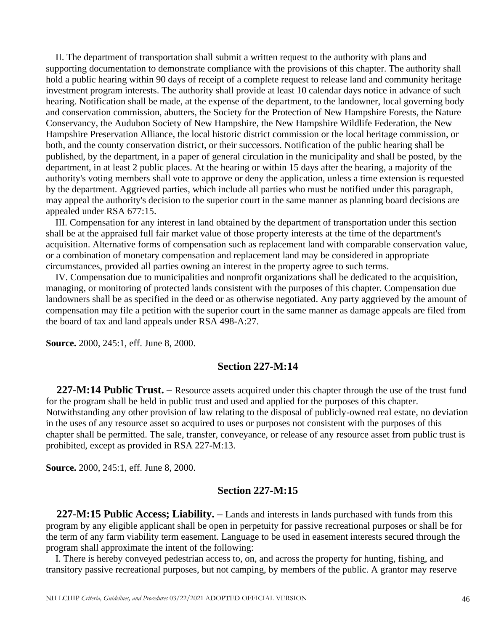II. The department of transportation shall submit a written request to the authority with plans and supporting documentation to demonstrate compliance with the provisions of this chapter. The authority shall hold a public hearing within 90 days of receipt of a complete request to release land and community heritage investment program interests. The authority shall provide at least 10 calendar days notice in advance of such hearing. Notification shall be made, at the expense of the department, to the landowner, local governing body and conservation commission, abutters, the Society for the Protection of New Hampshire Forests, the Nature Conservancy, the Audubon Society of New Hampshire, the New Hampshire Wildlife Federation, the New Hampshire Preservation Alliance, the local historic district commission or the local heritage commission, or both, and the county conservation district, or their successors. Notification of the public hearing shall be published, by the department, in a paper of general circulation in the municipality and shall be posted, by the department, in at least 2 public places. At the hearing or within 15 days after the hearing, a majority of the authority's voting members shall vote to approve or deny the application, unless a time extension is requested by the department. Aggrieved parties, which include all parties who must be notified under this paragraph, may appeal the authority's decision to the superior court in the same manner as planning board decisions are appealed under RSA 677:15.

 III. Compensation for any interest in land obtained by the department of transportation under this section shall be at the appraised full fair market value of those property interests at the time of the department's acquisition. Alternative forms of compensation such as replacement land with comparable conservation value, or a combination of monetary compensation and replacement land may be considered in appropriate circumstances, provided all parties owning an interest in the property agree to such terms.

 IV. Compensation due to municipalities and nonprofit organizations shall be dedicated to the acquisition, managing, or monitoring of protected lands consistent with the purposes of this chapter. Compensation due landowners shall be as specified in the deed or as otherwise negotiated. Any party aggrieved by the amount of compensation may file a petition with the superior court in the same manner as damage appeals are filed from the board of tax and land appeals under RSA 498-A:27.

**Source.** 2000, 245:1, eff. June 8, 2000.

### **Section 227-M:14**

 **227-M:14 Public Trust. –** Resource assets acquired under this chapter through the use of the trust fund for the program shall be held in public trust and used and applied for the purposes of this chapter. Notwithstanding any other provision of law relating to the disposal of publicly-owned real estate, no deviation in the uses of any resource asset so acquired to uses or purposes not consistent with the purposes of this chapter shall be permitted. The sale, transfer, conveyance, or release of any resource asset from public trust is prohibited, except as provided in RSA 227-M:13.

**Source.** 2000, 245:1, eff. June 8, 2000.

## **Section 227-M:15**

 **227-M:15 Public Access; Liability. –** Lands and interests in lands purchased with funds from this program by any eligible applicant shall be open in perpetuity for passive recreational purposes or shall be for the term of any farm viability term easement. Language to be used in easement interests secured through the program shall approximate the intent of the following:

 I. There is hereby conveyed pedestrian access to, on, and across the property for hunting, fishing, and transitory passive recreational purposes, but not camping, by members of the public. A grantor may reserve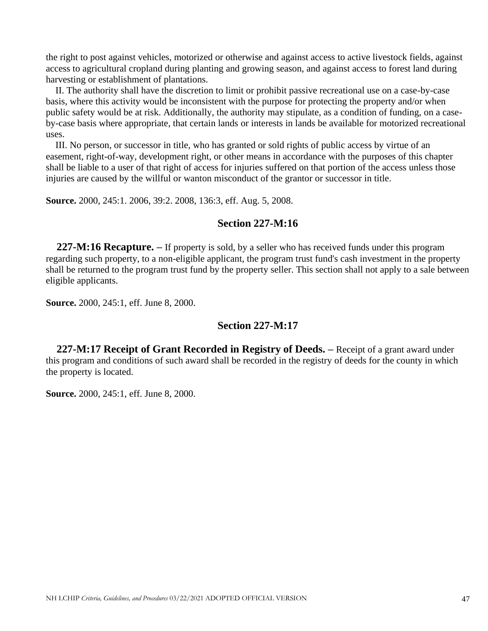the right to post against vehicles, motorized or otherwise and against access to active livestock fields, against access to agricultural cropland during planting and growing season, and against access to forest land during harvesting or establishment of plantations.

 II. The authority shall have the discretion to limit or prohibit passive recreational use on a case-by-case basis, where this activity would be inconsistent with the purpose for protecting the property and/or when public safety would be at risk. Additionally, the authority may stipulate, as a condition of funding, on a caseby-case basis where appropriate, that certain lands or interests in lands be available for motorized recreational uses.

 III. No person, or successor in title, who has granted or sold rights of public access by virtue of an easement, right-of-way, development right, or other means in accordance with the purposes of this chapter shall be liable to a user of that right of access for injuries suffered on that portion of the access unless those injuries are caused by the willful or wanton misconduct of the grantor or successor in title.

**Source.** 2000, 245:1. 2006, 39:2. 2008, 136:3, eff. Aug. 5, 2008.

# **Section 227-M:16**

 **227-M:16 Recapture. –** If property is sold, by a seller who has received funds under this program regarding such property, to a non-eligible applicant, the program trust fund's cash investment in the property shall be returned to the program trust fund by the property seller. This section shall not apply to a sale between eligible applicants.

**Source.** 2000, 245:1, eff. June 8, 2000.

# **Section 227-M:17**

 **227-M:17 Receipt of Grant Recorded in Registry of Deeds. –** Receipt of a grant award under this program and conditions of such award shall be recorded in the registry of deeds for the county in which the property is located.

**Source.** 2000, 245:1, eff. June 8, 2000.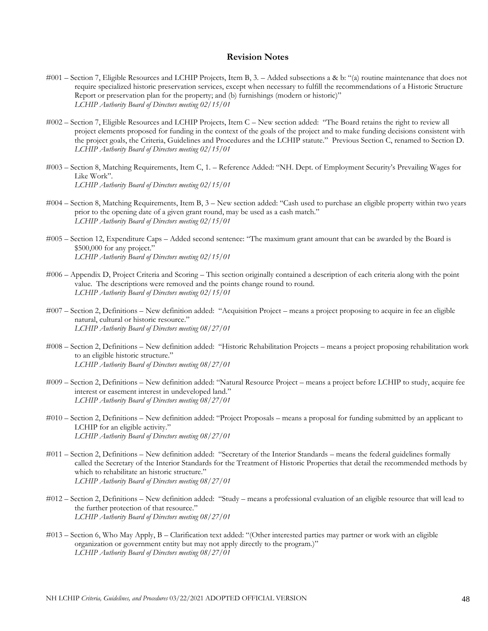#### **Revision Notes**

- #001 Section 7, Eligible Resources and LCHIP Projects, Item B, 3. Added subsections a & b: "(a) routine maintenance that does not require specialized historic preservation services, except when necessary to fulfill the recommendations of a Historic Structure Report or preservation plan for the property; and (b) furnishings (modern or historic)" *LCHIP Authority Board of Directors meeting 02/15/01*
- #002 Section 7, Eligible Resources and LCHIP Projects, Item C New section added: "The Board retains the right to review all project elements proposed for funding in the context of the goals of the project and to make funding decisions consistent with the project goals, the Criteria, Guidelines and Procedures and the LCHIP statute." Previous Section C, renamed to Section D. *LCHIP Authority Board of Directors meeting 02/15/01*
- #003 Section 8, Matching Requirements, Item C, 1. Reference Added: "NH. Dept. of Employment Security's Prevailing Wages for Like Work". *LCHIP Authority Board of Directors meeting 02/15/01*
- #004 Section 8, Matching Requirements, Item B, 3 New section added: "Cash used to purchase an eligible property within two years prior to the opening date of a given grant round, may be used as a cash match." *LCHIP Authority Board of Directors meeting 02/15/01*
- #005 Section 12, Expenditure Caps Added second sentence: "The maximum grant amount that can be awarded by the Board is \$500,000 for any project." *LCHIP Authority Board of Directors meeting 02/15/01*
- #006 Appendix D, Project Criteria and Scoring This section originally contained a description of each criteria along with the point value. The descriptions were removed and the points change round to round. *LCHIP Authority Board of Directors meeting 02/15/01*
- #007 Section 2, Definitions New definition added: "Acquisition Project means a project proposing to acquire in fee an eligible natural, cultural or historic resource." *LCHIP Authority Board of Directors meeting 08/27/01*
- #008 Section 2, Definitions New definition added: "Historic Rehabilitation Projects means a project proposing rehabilitation work to an eligible historic structure." *LCHIP Authority Board of Directors meeting 08/27/01*
- #009 Section 2, Definitions New definition added: "Natural Resource Project means a project before LCHIP to study, acquire fee interest or easement interest in undeveloped land." *LCHIP Authority Board of Directors meeting 08/27/01*
- #010 Section 2, Definitions New definition added: "Project Proposals means a proposal for funding submitted by an applicant to LCHIP for an eligible activity." *LCHIP Authority Board of Directors meeting 08/27/01*
- #011 Section 2, Definitions New definition added: "Secretary of the Interior Standards means the federal guidelines formally called the Secretary of the Interior Standards for the Treatment of Historic Properties that detail the recommended methods by which to rehabilitate an historic structure." *LCHIP Authority Board of Directors meeting 08/27/01*
- #012 Section 2, Definitions New definition added: "Study means a professional evaluation of an eligible resource that will lead to the further protection of that resource." *LCHIP Authority Board of Directors meeting 08/27/01*
- #013 Section 6, Who May Apply, B Clarification text added: "(Other interested parties may partner or work with an eligible organization or government entity but may not apply directly to the program.)" *LCHIP Authority Board of Directors meeting 08/27/01*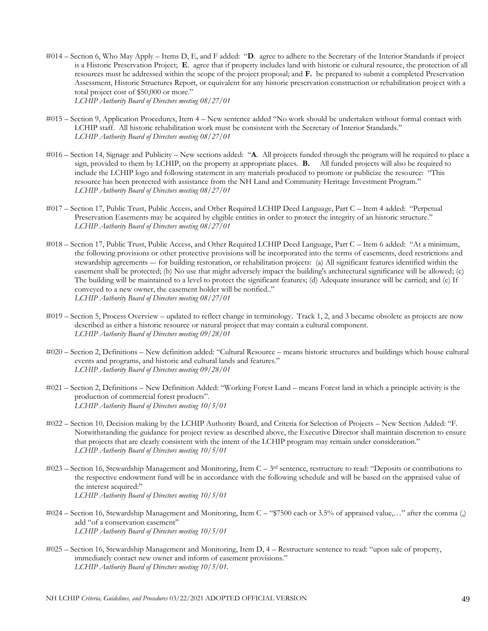#014 – Section 6, Who May Apply – Items D, E, and F added: "**D**. agree to adhere to the Secretary of the Interior Standards if project is a Historic Preservation Project; **E**. agree that if property includes land with historic or cultural resource, the protection of all resources must be addressed within the scope of the project proposal; and **F.** be prepared to submit a completed Preservation Assessment, Historic Structures Report, or equivalent for any historic preservation construction or rehabilitation project with a total project cost of \$50,000 or more."

*LCHIP Authority Board of Directors meeting 08/27/01*

- #015 Section 9, Application Procedures, Item 4 New sentence added "No work should be undertaken without formal contact with LCHIP staff. All historic rehabilitation work must be consistent with the Secretary of Interior Standards." *LCHIP Authority Board of Directors meeting 08/27/01*
- #016 Section 14, Signage and Publicity New sections added: "**A**. All projects funded through the program will be required to place a sign, provided to them by LCHIP, on the property at appropriate places. **B.** All funded projects will also be required to include the LCHIP logo and following statement in any materials produced to promote or publicize the resource: "This resource has been protected with assistance from the NH Land and Community Heritage Investment Program." *LCHIP Authority Board of Directors meeting 08/27/01*
- #017 Section 17, Public Trust, Public Access, and Other Required LCHIP Deed Language, Part C Item 4 added: "Perpetual Preservation Easements may be acquired by eligible entities in order to protect the integrity of an historic structure." *LCHIP Authority Board of Directors meeting 08/27/01*
- #018 Section 17, Public Trust, Public Access, and Other Required LCHIP Deed Language, Part C Item 6 added: "At a minimum, the following provisions or other protective provisions will be incorporated into the terms of easements, deed restrictions and stewardship agreements –- for building restoration, or rehabilitation projects: (a) All significant features identified within the easement shall be protected; (b) No use that might adversely impact the building's architectural significance will be allowed; (c) The building will be maintained to a level to protect the significant features; (d) Adequate insurance will be carried; and (e) If conveyed to a new owner, the easement holder will be notified.." *LCHIP Authority Board of Directors meeting 08/27/01*
- #019 Section 5, Process Overview updated to reflect change in terminology. Track 1, 2, and 3 became obsolete as projects are now described as either a historic resource or natural project that may contain a cultural component. *LCHIP Authority Board of Directors meeting 09/28/01*
- #020 Section 2, Definitions New definition added: "Cultural Resource means historic structures and buildings which house cultural events and programs, and historic and cultural lands and features." *LCHIP Authority Board of Directors meeting 09/28/01*
- #021 Section 2, Definitions New Definition Added: "Working Forest Land means Forest land in which a principle activity is the production of commercial forest products". *LCHIP Authority Board of Directors meeting 10/5/01*
- #022 Section 10*,* Decision making by the LCHIP Authority Board, and Criteria for Selection of Projects New Section Added: "F. Notwithstanding the guidance for project review as described above, the Executive Director shall maintain discretion to ensure that projects that are clearly consistent with the intent of the LCHIP program may remain under consideration." *LCHIP Authority Board of Directors meeting 10/5/01*
- #023 Section 16, Stewardship Management and Monitoring, Item C 3<sup>rd</sup> sentence, restructure to read: "Deposits or contributions to the respective endowment fund will be in accordance with the following schedule and will be based on the appraised value of the interest acquired:" *LCHIP Authority Board of Directors meeting 10/5/01*
- #024 Section 16, Stewardship Management and Monitoring, Item C "\$7500 each or 3.5% of appraised value,…" after the comma (,) add "of a conservation easement" *LCHIP Authority Board of Directors meeting 10/5/01*
- #025 Section 16, Stewardship Management and Monitoring, Item D, 4 Restructure sentence to read: "upon sale of property, immediately contact new owner and inform of easement provisions." *LCHIP Authority Board of Directors meeting 10/5/01.*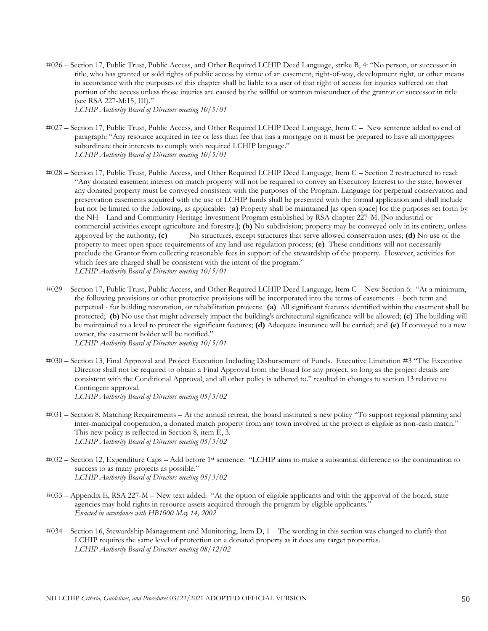- #026 Section 17, Public Trust, Public Access, and Other Required LCHIP Deed Language, strike B, 4: "No person, or successor in title, who has granted or sold rights of public access by virtue of an easement, right-of-way, development right, or other means in accordance with the purposes of this chapter shall be liable to a user of that right of access for injuries suffered on that portion of the access unless those injuries are caused by the willful or wanton misconduct of the grantor or successor in title (see RSA 227-M:15, III)." *LCHIP Authority Board of Directors meeting 10/5/01*
- #027 Section 17, Public Trust, Public Access, and Other Required LCHIP Deed Language, Item C New sentence added to end of paragraph: "Any resource acquired in fee or less than fee that has a mortgage on it must be prepared to have all mortgagees subordinate their interests to comply with required LCHIP language." *LCHIP Authority Board of Directors meeting 10/5/01*
- #028 Section 17, Public Trust, Public Access, and Other Required LCHIP Deed Language, Item C Section 2 restructured to read: "Any donated easement interest on match property will not be required to convey an Executory Interest to the state, however any donated property must be conveyed consistent with the purposes of the Program. Language for perpetual conservation and preservation easements acquired with the use of LCHIP funds shall be presented with the formal application and shall include but not be limited to the following, as applicable: (**a)** Property shall be maintained [as open space] for the purposes set forth by the NH Land and Community Heritage Investment Program established by RSA chapter 227-M. [No industrial or commercial activities except agriculture and forestry.]; **(b)** No subdivision; property may be conveyed only in its entirety, unless approved by the authority; **(c)** No structures, except structures that serve allowed conservation uses; **(d)** No use of the property to meet open space requirements of any land use regulation process; **(e)** These conditions will not necessarily preclude the Grantor from collecting reasonable fees in support of the stewardship of the property. However, activities for which fees are charged shall be consistent with the intent of the program." *LCHIP Authority Board of Directors meeting 10/5/01*
- #029 Section 17, Public Trust, Public Access, and Other Required LCHIP Deed Language, Item C New Section 6: "At a minimum, the following provisions or other protective provisions will be incorporated into the terms of easements – both term and perpetual - for building restoration, or rehabilitation projects: **(a)** All significant features identified within the easement shall be protected; **(b)** No use that might adversely impact the building's architectural significance will be allowed; **(c)** The building will be maintained to a level to protect the significant features; **(d)** Adequate insurance will be carried; and **(e)** If conveyed to a new owner, the easement holder will be notified." *LCHIP Authority Board of Directors meeting 10/5/01*
- #030 Section 13, Final Approval and Project Execution Including Disbursement of Funds. Executive Limitation #3 "The Executive Director shall not be required to obtain a Final Approval from the Board for any project, so long as the project details are consistent with the Conditional Approval, and all other policy is adhered to." resulted in changes to section 13 relative to Contingent approval. *LCHIP Authority Board of Directors meeting 05/3/02*
- #031 Section 8, Matching Requirements At the annual retreat, the board instituted a new policy "To support regional planning and inter-municipal cooperation, a donated match property from any town involved in the project is eligible as non-cash match." This new policy is reflected in Section 8, item E, 3. *LCHIP Authority Board of Directors meeting 05/3/02*
- #032 Section 12, Expenditure Caps Add before 1st sentence: "LCHIP aims to make a substantial difference to the continuation to success to as many projects as possible." *LCHIP Authority Board of Directors meeting 05/3/02*
- #033 Appendix E, RSA 227-M New text added: "At the option of eligible applicants and with the approval of the board, state agencies may hold rights in resource assets acquired through the program by eligible applicants." *Enacted in accordance with HB1000 May 14, 2002*
- #034 Section 16, Stewardship Management and Monitoring, Item D, 1 The wording in this section was changed to clarify that LCHIP requires the same level of protection on a donated property as it does any target properties. *LCHIP Authority Board of Directors meeting 08/12/02*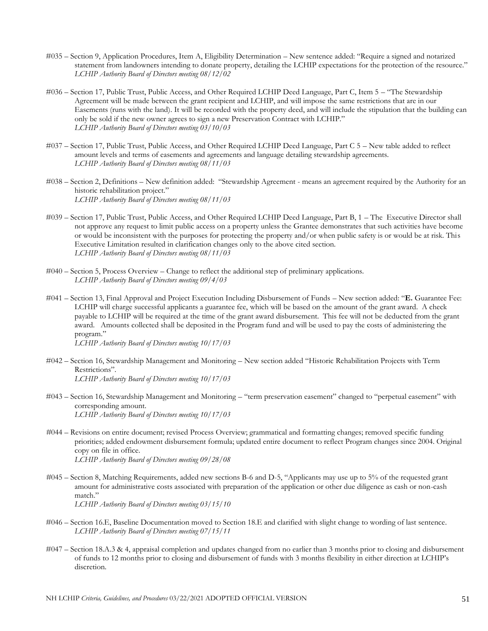- #035 Section 9, Application Procedures, Item A, Eligibility Determination New sentence added: "Require a signed and notarized statement from landowners intending to donate property, detailing the LCHIP expectations for the protection of the resource." *LCHIP Authority Board of Directors meeting 08/12/02*
- #036 Section 17, Public Trust, Public Access, and Other Required LCHIP Deed Language, Part C, Item 5 "The Stewardship Agreement will be made between the grant recipient and LCHIP, and will impose the same restrictions that are in our Easements (runs with the land). It will be recorded with the property deed, and will include the stipulation that the building can only be sold if the new owner agrees to sign a new Preservation Contract with LCHIP." *LCHIP Authority Board of Directors meeting 03/10/03*
- #037 Section 17, Public Trust, Public Access, and Other Required LCHIP Deed Language, Part C 5 New table added to reflect amount levels and terms of easements and agreements and language detailing stewardship agreements. *LCHIP Authority Board of Directors meeting 08/11/03*
- #038 Section 2, Definitions New definition added: "Stewardship Agreement means an agreement required by the Authority for an historic rehabilitation project." *LCHIP Authority Board of Directors meeting 08/11/03*
- #039 Section 17, Public Trust, Public Access, and Other Required LCHIP Deed Language, Part B, 1 The Executive Director shall not approve any request to limit public access on a property unless the Grantee demonstrates that such activities have become or would be inconsistent with the purposes for protecting the property and/or when public safety is or would be at risk. This Executive Limitation resulted in clarification changes only to the above cited section. *LCHIP Authority Board of Directors meeting 08/11/03*
- #040 Section 5, Process Overview Change to reflect the additional step of preliminary applications. *LCHIP Authority Board of Directors meeting 09/4/03*
- #041 Section 13, Final Approval and Project Execution Including Disbursement of Funds New section added: "**E.** Guarantee Fee: LCHIP will charge successful applicants a guarantee fee, which will be based on the amount of the grant award. A check payable to LCHIP will be required at the time of the grant award disbursement. This fee will not be deducted from the grant award. Amounts collected shall be deposited in the Program fund and will be used to pay the costs of administering the program."

*LCHIP Authority Board of Directors meeting 10/17/03*

- #042 Section 16, Stewardship Management and Monitoring New section added "Historic Rehabilitation Projects with Term Restrictions". *LCHIP Authority Board of Directors meeting 10/17/03*
- #043 Section 16, Stewardship Management and Monitoring "term preservation easement" changed to "perpetual easement" with corresponding amount. *LCHIP Authority Board of Directors meeting 10/17/03*
- *#*044 Revisions on entire document; revised Process Overview; grammatical and formatting changes; removed specific funding priorities; added endowment disbursement formula; updated entire document to reflect Program changes since 2004. Original copy on file in office. *LCHIP Authority Board of Directors meeting 09/28/08*
- *#*045 Section 8, Matching Requirements, added new sections B-6 and D-5, "Applicants may use up to 5% of the requested grant amount for administrative costs associated with preparation of the application or other due diligence as cash or non-cash match." *LCHIP Authority Board of Directors meeting 03/15/10*
- #046 Section 16.E, Baseline Documentation moved to Section 18.E and clarified with slight change to wording of last sentence. *LCHIP Authority Board of Directors meeting 07/15/11*
- #047 Section 18.A.3 & 4, appraisal completion and updates changed from no earlier than 3 months prior to closing and disbursement of funds to 12 months prior to closing and disbursement of funds with 3 months flexibility in either direction at LCHIP's discretion.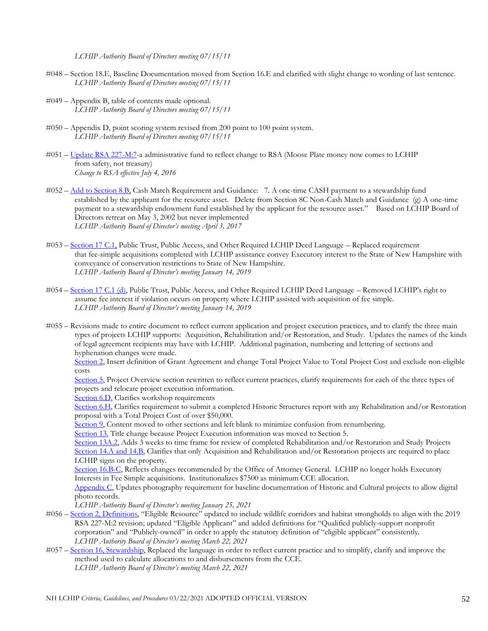*LCHIP Authority Board of Directors meeting 07/15/11*

- #048 Section 18.E, Baseline Documentation moved from Section 16.E and clarified with slight change to wording of last sentence. *LCHIP Authority Board of Directors meeting 07/15/11*
- #049 Appendix B, table of contents made optional. *LCHIP Authority Board of Directors meeting 07/15/11*
- #050 Appendix D, point scoring system revised from 200 point to 100 point system. *LCHIP Authority Board of Directors meeting 07/15/11*
- #051 [Update RSA 227-M:7-](#page-41-0)a administrative fund to reflect change to RSA (Moose Plate money now comes to LCHIP from safety, not treasury) *Change to RSA effective July 4, 2016*
- #052 [Add to Section 8.B,](#page-12-0) Cash Match Requirement and Guidance: 7. A one-time CASH payment to a stewardship fund established by the applicant for the resource asset. Delete from Section 8C Non-Cash Match and Guidance (g) A one-time payment to a stewardship endowment fund established by the applicant for the resource asset." Based on LCHIP Board of Directors retreat on May 3, 2002 but never implemented *LCHIP Authority Board of Director's meeting April 3, 2017*
- #053 [Section 17](#page-21-0) C.1, Public Trust, Public Access, and Other Required LCHIP Deed Language Replaced requirement that fee-simple acquisitions completed with LCHIP assistance convey Executory interest to the State of New Hampshire with conveyance of conservation restrictions to State of New Hampshire. *LCHIP Authority Board of Director's meeting January 14, 2019*
- #054 [Section 17](#page-21-0) C.1 (d), Public Trust, Public Access, and Other Required LCHIP Deed Language Removed LCHIP's right to assume fee interest if violation occurs on property where LCHIP assisted with acquisition of fee simple. *LCHIP Authority Board of Director's meeting January 14, 2019*
- #055 Revisions made to entire document to reflect current application and project execution practices, and to clarify the three main types of projects LCHIP supports: Acquisition, Rehabilitation and/or Restoration, and Study. Updates the names of the kinds of legal agreement recipients may have with LCHIP. Additional pagination, numbering and lettering of sections and hyphenation changes were made.

[Section 2,](#page-3-0) Insert definition of Grant Agreement and change Total Project Value to Total Project Cost and exclude non-eligible costs

[Section 5,](#page-6-0) Project Overview section rewritten to reflect current practices, clarify requirements for each of the three types of projects and relocate project execution information.

[Section 6.D,](#page-10-0) Clarifies workshop requirements

[Section 6.H,](#page-10-1) Clarifies requirement to submit a completed Historic Structures report with any Rehabilitation and/or Restoration proposal with a Total Project Cost of over \$50,000.

[Section 9,](#page-14-0) Content moved to other sections and left blank to minimize confusion from renumbering.

[Section 13,](#page-15-0) Title change because Project Execution information was moved to Section 5.

[Section 13A.2,](#page-15-1) Adds 3 weeks to time frame for review of completed Rehabilitation and/or Restoration and Study Projects [Section 14.A and 14.B,](#page-16-0) Clarifies that only Acquisition and Rehabilitation and/or Restoration projects are required to place LCHIP signs on the property.

Section 16.B-C, Reflects changes recommended by the Office of Attorney General. LCHIP no longer holds Executory Interests in Fee Simple acquisitions. Institutionalizes \$7500 as minimum CCE allocation.

[Appendix C,](#page-34-0) Updates photography requirement for baseline documentation of Historic and Cultural projects to allow digital photo records.

*LCHIP Authority Board of Director's meeting January 25, 2021*

- #056 Section 2, [Definitions](#page-3-1), "Eligible Resource" updated to include wildlife corridors and habitat strongholds to align with the 2019 RSA 227-M:2 revision; updated "Eligible Applicant" and added definitions for "Qualified publicly-support nonprofit corporation" and "Publicly-owned" in order to apply the statutory definition of "eligible applicant" consistently. *LCHIP Authority Board of Director's meeting March 22, 2021*
- #057 [Section 16, Stewardship,](#page-17-0) Replaced the language in order to reflect current practice and to simplify, clarify and improve the method used to calculate allocations to and disbursements from the CCE. *LCHIP Authority Board of Director's meeting March 22, 2021*